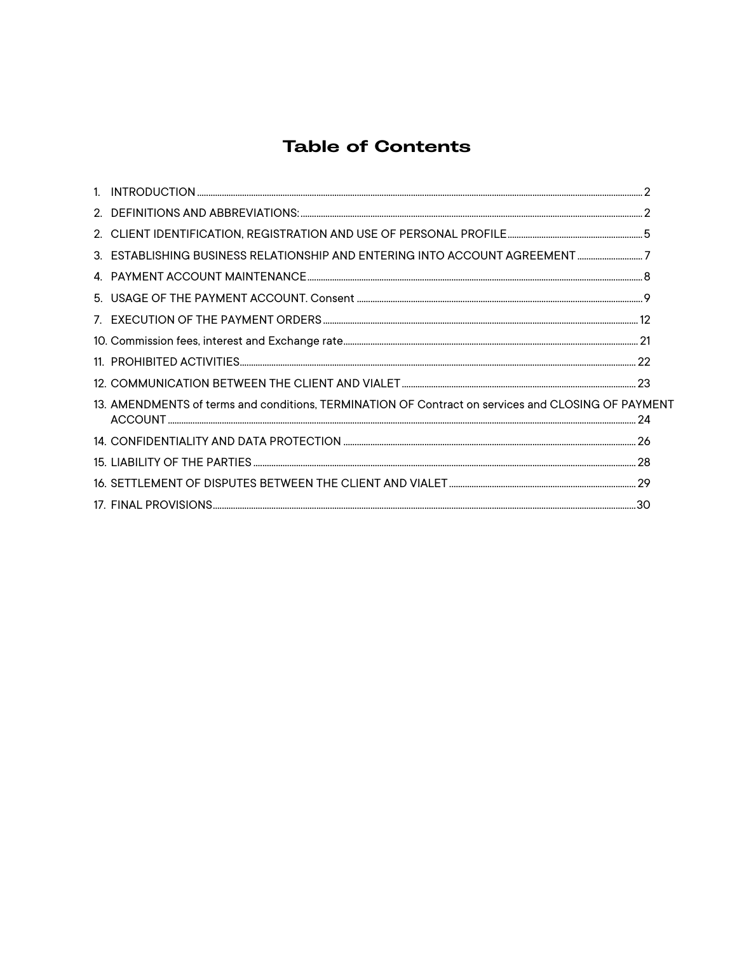# **Table of Contents**

| 3. ESTABLISHING BUSINESS RELATIONSHIP AND ENTERING INTO ACCOUNT AGREEMENT7                         |  |
|----------------------------------------------------------------------------------------------------|--|
|                                                                                                    |  |
|                                                                                                    |  |
|                                                                                                    |  |
|                                                                                                    |  |
|                                                                                                    |  |
|                                                                                                    |  |
| 13. AMENDMENTS of terms and conditions, TERMINATION OF Contract on services and CLOSING OF PAYMENT |  |
|                                                                                                    |  |
|                                                                                                    |  |
|                                                                                                    |  |
|                                                                                                    |  |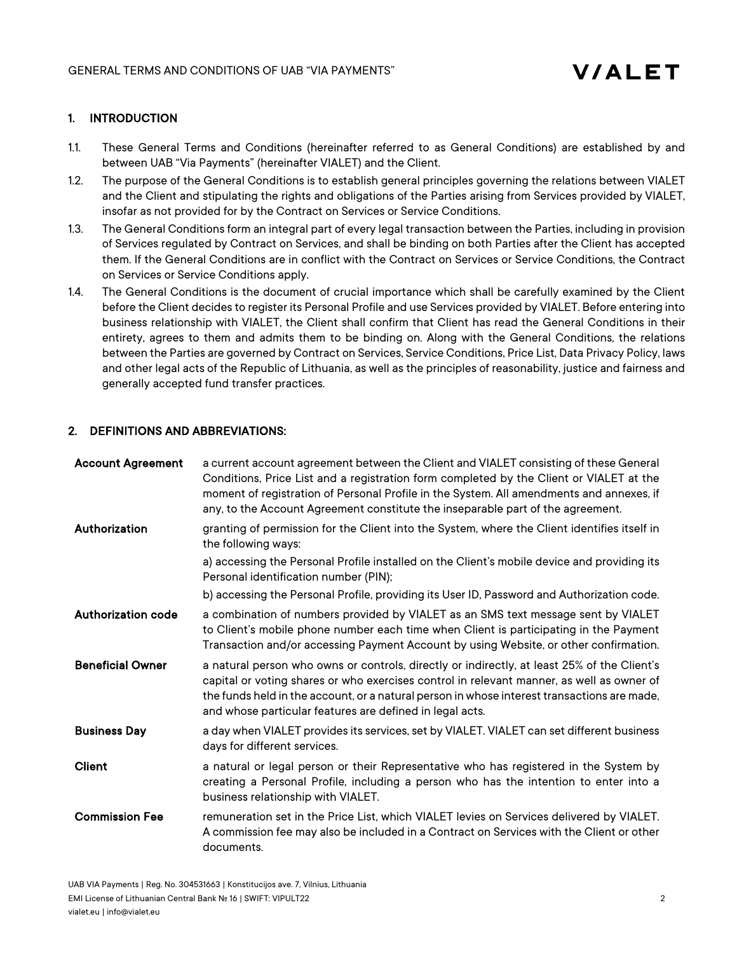# 1. INTRODUCTION

- 1.1. These General Terms and Conditions (hereinafter referred to as General Conditions) are established by and between UAB "Via Payments" (hereinafter VIALET) and the Client.
- 1.2. The purpose of the General Conditions is to establish general principles governing the relations between VIALET and the Client and stipulating the rights and obligations of the Parties arising from Services provided by VIALET, insofar as not provided for by the Contract on Services or Service Conditions.
- 1.3. The General Conditions form an integral part of every legal transaction between the Parties, including in provision of Services regulated by Contract on Services, and shall be binding on both Parties after the Client has accepted them. If the General Conditions are in conflict with the Contract on Services or Service Conditions, the Contract on Services or Service Conditions apply.
- 1.4. The General Conditions is the document of crucial importance which shall be carefully examined by the Client before the Client decides to register its Personal Profile and use Services provided by VIALET. Before entering into business relationship with VIALET, the Client shall confirm that Client has read the General Conditions in their entirety, agrees to them and admits them to be binding on. Along with the General Conditions, the relations between the Parties are governed by Contract on Services, Service Conditions, Price List, Data Privacy Policy, laws and other legal acts of the Republic of Lithuania, as well as the principles of reasonability, justice and fairness and generally accepted fund transfer practices.

# 2. DEFINITIONS AND ABBREVIATIONS:

| <b>Account Agreement</b>  | a current account agreement between the Client and VIALET consisting of these General<br>Conditions, Price List and a registration form completed by the Client or VIALET at the<br>moment of registration of Personal Profile in the System. All amendments and annexes, if<br>any, to the Account Agreement constitute the inseparable part of the agreement. |
|---------------------------|-----------------------------------------------------------------------------------------------------------------------------------------------------------------------------------------------------------------------------------------------------------------------------------------------------------------------------------------------------------------|
| Authorization             | granting of permission for the Client into the System, where the Client identifies itself in<br>the following ways:                                                                                                                                                                                                                                             |
|                           | a) accessing the Personal Profile installed on the Client's mobile device and providing its<br>Personal identification number (PIN);                                                                                                                                                                                                                            |
|                           | b) accessing the Personal Profile, providing its User ID, Password and Authorization code.                                                                                                                                                                                                                                                                      |
| <b>Authorization code</b> | a combination of numbers provided by VIALET as an SMS text message sent by VIALET<br>to Client's mobile phone number each time when Client is participating in the Payment<br>Transaction and/or accessing Payment Account by using Website, or other confirmation.                                                                                             |
| <b>Beneficial Owner</b>   | a natural person who owns or controls, directly or indirectly, at least 25% of the Client's<br>capital or voting shares or who exercises control in relevant manner, as well as owner of<br>the funds held in the account, or a natural person in whose interest transactions are made,<br>and whose particular features are defined in legal acts.             |
| <b>Business Day</b>       | a day when VIALET provides its services, set by VIALET. VIALET can set different business<br>days for different services.                                                                                                                                                                                                                                       |
| Client                    | a natural or legal person or their Representative who has registered in the System by<br>creating a Personal Profile, including a person who has the intention to enter into a<br>business relationship with VIALET.                                                                                                                                            |
| <b>Commission Fee</b>     | remuneration set in the Price List, which VIALET levies on Services delivered by VIALET.<br>A commission fee may also be included in a Contract on Services with the Client or other<br>documents.                                                                                                                                                              |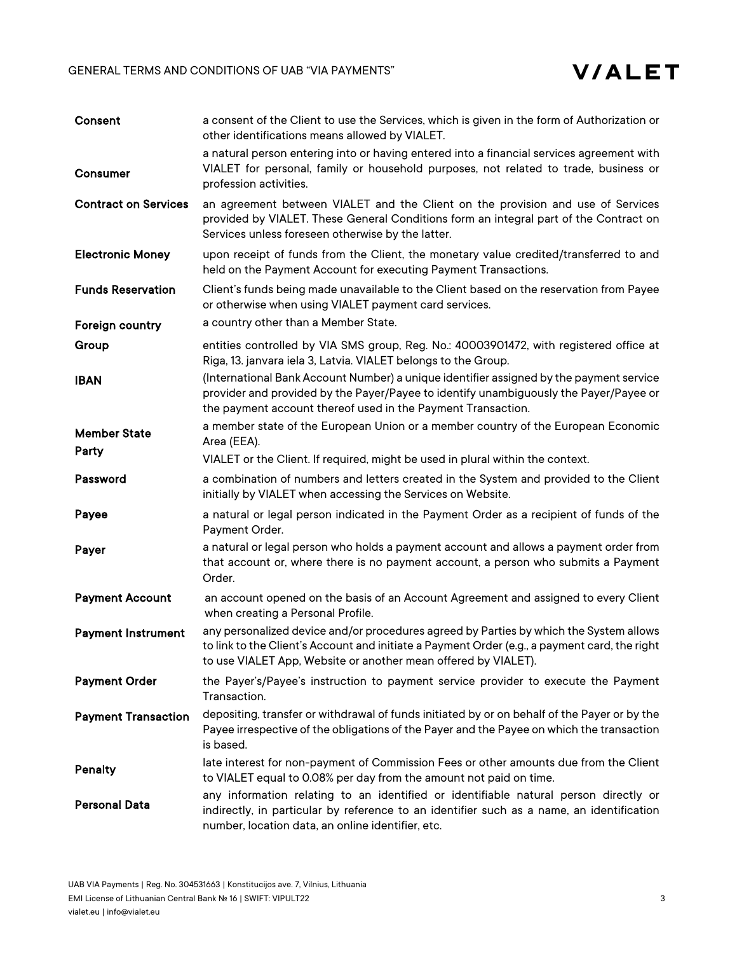

| Consent                      | a consent of the Client to use the Services, which is given in the form of Authorization or<br>other identifications means allowed by VIALET.                                                                                                             |
|------------------------------|-----------------------------------------------------------------------------------------------------------------------------------------------------------------------------------------------------------------------------------------------------------|
| <b>Consumer</b>              | a natural person entering into or having entered into a financial services agreement with<br>VIALET for personal, family or household purposes, not related to trade, business or<br>profession activities.                                               |
| <b>Contract on Services</b>  | an agreement between VIALET and the Client on the provision and use of Services<br>provided by VIALET. These General Conditions form an integral part of the Contract on<br>Services unless foreseen otherwise by the latter.                             |
| <b>Electronic Money</b>      | upon receipt of funds from the Client, the monetary value credited/transferred to and<br>held on the Payment Account for executing Payment Transactions.                                                                                                  |
| <b>Funds Reservation</b>     | Client's funds being made unavailable to the Client based on the reservation from Payee<br>or otherwise when using VIALET payment card services.                                                                                                          |
| Foreign country              | a country other than a Member State.                                                                                                                                                                                                                      |
| Group                        | entities controlled by VIA SMS group, Reg. No.: 40003901472, with registered office at<br>Riga, 13. janvara iela 3, Latvia. VIALET belongs to the Group.                                                                                                  |
| <b>IBAN</b>                  | (International Bank Account Number) a unique identifier assigned by the payment service<br>provider and provided by the Payer/Payee to identify unambiguously the Payer/Payee or<br>the payment account thereof used in the Payment Transaction.          |
| <b>Member State</b><br>Party | a member state of the European Union or a member country of the European Economic<br>Area (EEA).                                                                                                                                                          |
|                              | VIALET or the Client. If required, might be used in plural within the context.                                                                                                                                                                            |
| Password                     | a combination of numbers and letters created in the System and provided to the Client<br>initially by VIALET when accessing the Services on Website.                                                                                                      |
| Payee                        | a natural or legal person indicated in the Payment Order as a recipient of funds of the<br>Payment Order.                                                                                                                                                 |
| Payer                        | a natural or legal person who holds a payment account and allows a payment order from<br>that account or, where there is no payment account, a person who submits a Payment<br>Order.                                                                     |
| <b>Payment Account</b>       | an account opened on the basis of an Account Agreement and assigned to every Client<br>when creating a Personal Profile.                                                                                                                                  |
| <b>Payment Instrument</b>    | any personalized device and/or procedures agreed by Parties by which the System allows<br>to link to the Client's Account and initiate a Payment Order (e.g., a payment card, the right<br>to use VIALET App, Website or another mean offered by VIALET). |
| <b>Payment Order</b>         | the Payer's/Payee's instruction to payment service provider to execute the Payment<br>Transaction.                                                                                                                                                        |
| <b>Payment Transaction</b>   | depositing, transfer or withdrawal of funds initiated by or on behalf of the Payer or by the<br>Payee irrespective of the obligations of the Payer and the Payee on which the transaction<br>is based.                                                    |
| Penalty                      | late interest for non-payment of Commission Fees or other amounts due from the Client<br>to VIALET equal to 0.08% per day from the amount not paid on time.                                                                                               |
| <b>Personal Data</b>         | any information relating to an identified or identifiable natural person directly or                                                                                                                                                                      |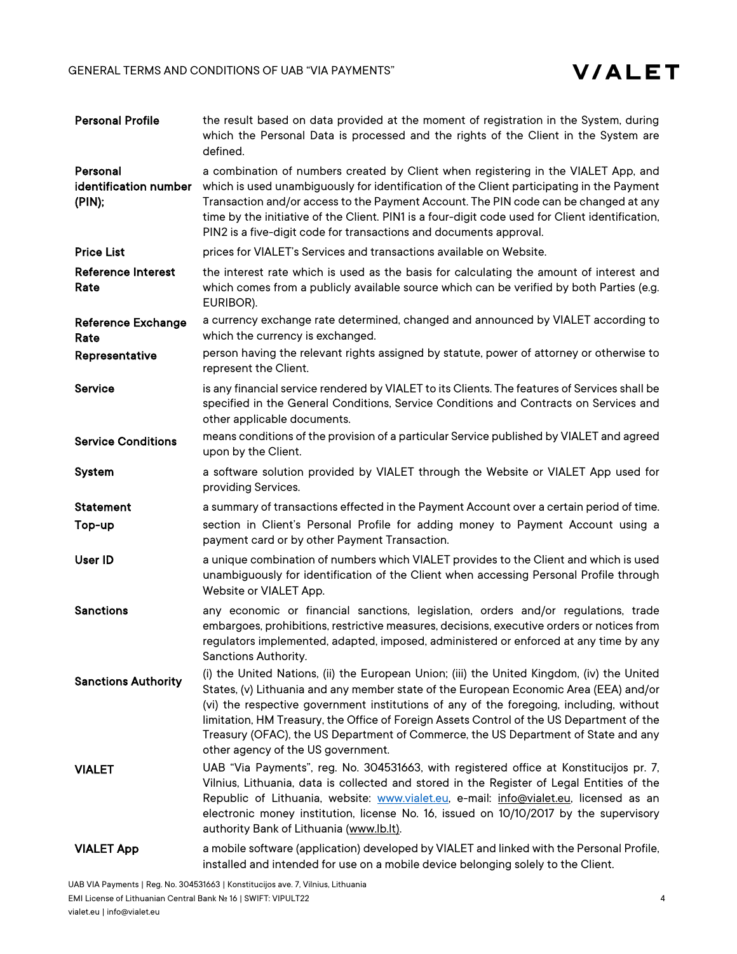

| <b>Personal Profile</b>                     | the result based on data provided at the moment of registration in the System, during<br>which the Personal Data is processed and the rights of the Client in the System are<br>defined.                                                                                                                                                                                                                                                                                                                |
|---------------------------------------------|---------------------------------------------------------------------------------------------------------------------------------------------------------------------------------------------------------------------------------------------------------------------------------------------------------------------------------------------------------------------------------------------------------------------------------------------------------------------------------------------------------|
| Personal<br>identification number<br>(PIN); | a combination of numbers created by Client when registering in the VIALET App, and<br>which is used unambiguously for identification of the Client participating in the Payment<br>Transaction and/or access to the Payment Account. The PIN code can be changed at any<br>time by the initiative of the Client. PIN1 is a four-digit code used for Client identification,<br>PIN2 is a five-digit code for transactions and documents approval.                                                        |
| <b>Price List</b>                           | prices for VIALET's Services and transactions available on Website.                                                                                                                                                                                                                                                                                                                                                                                                                                     |
| <b>Reference Interest</b><br>Rate           | the interest rate which is used as the basis for calculating the amount of interest and<br>which comes from a publicly available source which can be verified by both Parties (e.g.<br>EURIBOR).                                                                                                                                                                                                                                                                                                        |
| <b>Reference Exchange</b><br>Rate           | a currency exchange rate determined, changed and announced by VIALET according to<br>which the currency is exchanged.                                                                                                                                                                                                                                                                                                                                                                                   |
| Representative                              | person having the relevant rights assigned by statute, power of attorney or otherwise to<br>represent the Client.                                                                                                                                                                                                                                                                                                                                                                                       |
| <b>Service</b>                              | is any financial service rendered by VIALET to its Clients. The features of Services shall be<br>specified in the General Conditions, Service Conditions and Contracts on Services and<br>other applicable documents.                                                                                                                                                                                                                                                                                   |
| <b>Service Conditions</b>                   | means conditions of the provision of a particular Service published by VIALET and agreed<br>upon by the Client.                                                                                                                                                                                                                                                                                                                                                                                         |
| System                                      | a software solution provided by VIALET through the Website or VIALET App used for<br>providing Services.                                                                                                                                                                                                                                                                                                                                                                                                |
| <b>Statement</b>                            | a summary of transactions effected in the Payment Account over a certain period of time.                                                                                                                                                                                                                                                                                                                                                                                                                |
| Top-up                                      | section in Client's Personal Profile for adding money to Payment Account using a<br>payment card or by other Payment Transaction.                                                                                                                                                                                                                                                                                                                                                                       |
| User ID                                     | a unique combination of numbers which VIALET provides to the Client and which is used<br>unambiguously for identification of the Client when accessing Personal Profile through<br>Website or VIALET App.                                                                                                                                                                                                                                                                                               |
| <b>Sanctions</b>                            | any economic or financial sanctions, legislation, orders and/or regulations, trade<br>embargoes, prohibitions, restrictive measures, decisions, executive orders or notices from<br>regulators implemented, adapted, imposed, administered or enforced at any time by any<br>Sanctions Authority.                                                                                                                                                                                                       |
| <b>Sanctions Authority</b>                  | (i) the United Nations, (ii) the European Union; (iii) the United Kingdom, (iv) the United<br>States, (v) Lithuania and any member state of the European Economic Area (EEA) and/or<br>(vi) the respective government institutions of any of the foregoing, including, without<br>limitation, HM Treasury, the Office of Foreign Assets Control of the US Department of the<br>Treasury (OFAC), the US Department of Commerce, the US Department of State and any<br>other agency of the US government. |
| <b>VIALET</b>                               | UAB "Via Payments", reg. No. 304531663, with registered office at Konstitucijos pr. 7,<br>Vilnius, Lithuania, data is collected and stored in the Register of Legal Entities of the<br>Republic of Lithuania, website: www.vialet.eu, e-mail: info@vialet.eu, licensed as an<br>electronic money institution, license No. 16, issued on 10/10/2017 by the supervisory<br>authority Bank of Lithuania (www.lb.lt).                                                                                       |
| <b>VIALET App</b>                           | a mobile software (application) developed by VIALET and linked with the Personal Profile,<br>installed and intended for use on a mobile device belonging solely to the Client.                                                                                                                                                                                                                                                                                                                          |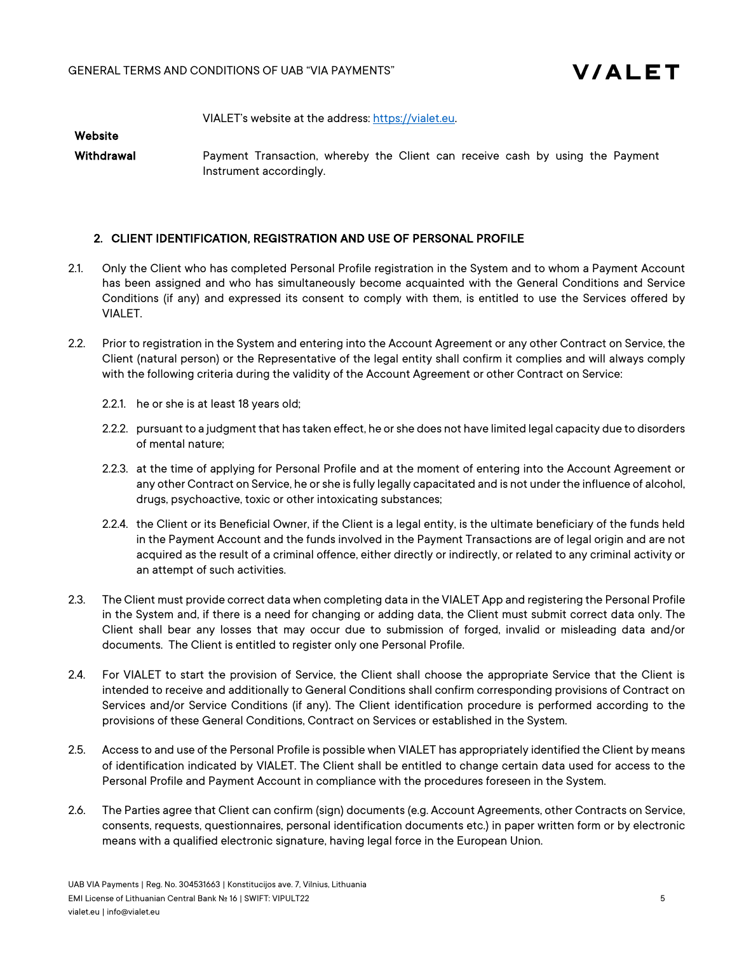

VIALET's website at the address: https://vialet.eu.

Website

Withdrawal **Payment Transaction, whereby the Client can receive cash by using the Payment** Instrument accordingly.

# 2. CLIENT IDENTIFICATION, REGISTRATION AND USE OF PERSONAL PROFILE

- 2.1. Only the Client who has completed Personal Profile registration in the System and to whom a Payment Account has been assigned and who has simultaneously become acquainted with the General Conditions and Service Conditions (if any) and expressed its consent to comply with them, is entitled to use the Services offered by VIALET.
- 2.2. Prior to registration in the System and entering into the Account Agreement or any other Contract on Service, the Client (natural person) or the Representative of the legal entity shall confirm it complies and will always comply with the following criteria during the validity of the Account Agreement or other Contract on Service:
	- 2.2.1. he or she is at least 18 years old;
	- 2.2.2. pursuant to a judgment that has taken effect, he or she does not have limited legal capacity due to disorders of mental nature;
	- 2.2.3. at the time of applying for Personal Profile and at the moment of entering into the Account Agreement or any other Contract on Service, he or she is fully legally capacitated and is not under the influence of alcohol, drugs, psychoactive, toxic or other intoxicating substances;
	- 2.2.4. the Client or its Beneficial Owner, if the Client is a legal entity, is the ultimate beneficiary of the funds held in the Payment Account and the funds involved in the Payment Transactions are of legal origin and are not acquired as the result of a criminal offence, either directly or indirectly, or related to any criminal activity or an attempt of such activities.
- 2.3. The Client must provide correct data when completing data in the VIALET App and registering the Personal Profile in the System and, if there is a need for changing or adding data, the Client must submit correct data only. The Client shall bear any losses that may occur due to submission of forged, invalid or misleading data and/or documents. The Client is entitled to register only one Personal Profile.
- 2.4. For VIALET to start the provision of Service, the Client shall choose the appropriate Service that the Client is intended to receive and additionally to General Conditions shall confirm corresponding provisions of Contract on Services and/or Service Conditions (if any). The Client identification procedure is performed according to the provisions of these General Conditions, Contract on Services or established in the System.
- 2.5. Access to and use of the Personal Profile is possible when VIALET has appropriately identified the Client by means of identification indicated by VIALET. The Client shall be entitled to change certain data used for access to the Personal Profile and Payment Account in compliance with the procedures foreseen in the System.
- 2.6. The Parties agree that Client can confirm (sign) documents (e.g. Account Agreements, other Contracts on Service, consents, requests, questionnaires, personal identification documents etc.) in paper written form or by electronic means with a qualified electronic signature, having legal force in the European Union.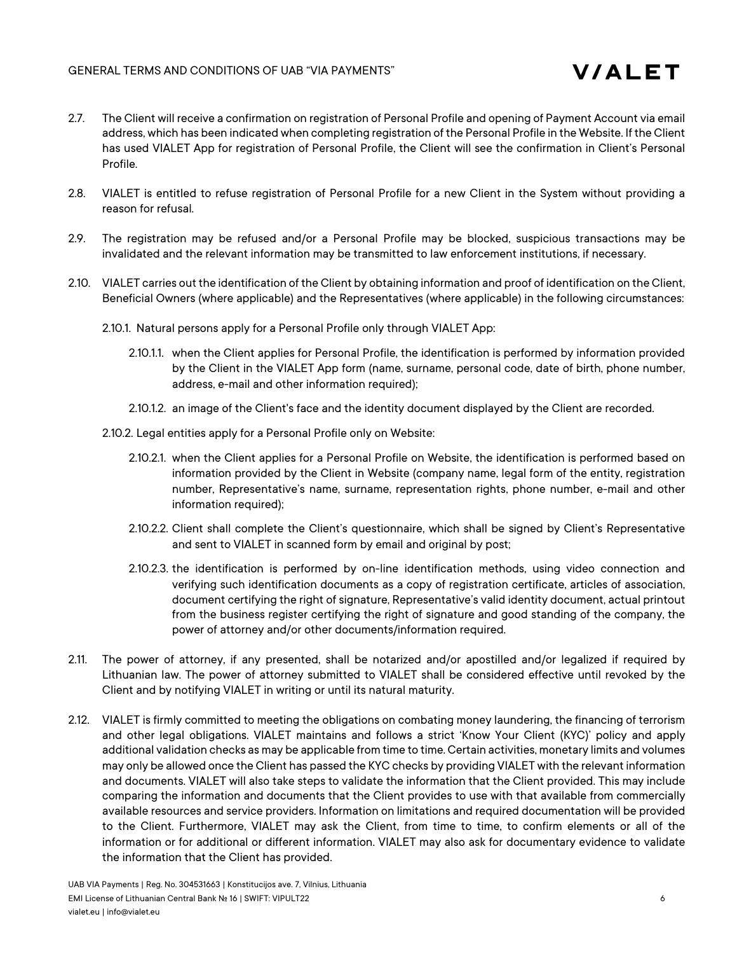

- 2.7. The Client will receive a confirmation on registration of Personal Profile and opening of Payment Account via email address, which has been indicated when completing registration of the Personal Profile in the Website. If the Client has used VIALET App for registration of Personal Profile, the Client will see the confirmation in Client's Personal Profile.
- 2.8. VIALET is entitled to refuse registration of Personal Profile for a new Client in the System without providing a reason for refusal.
- 2.9. The registration may be refused and/or a Personal Profile may be blocked, suspicious transactions may be invalidated and the relevant information may be transmitted to law enforcement institutions, if necessary.
- 2.10. VIALET carries out the identification of the Client by obtaining information and proof of identification on the Client, Beneficial Owners (where applicable) and the Representatives (where applicable) in the following circumstances:
	- 2.10.1. Natural persons apply for a Personal Profile only through VIALET App:
		- 2.10.1.1. when the Client applies for Personal Profile, the identification is performed by information provided by the Client in the VIALET App form (name, surname, personal code, date of birth, phone number, address, e-mail and other information required);
		- 2.10.1.2. an image of the Client's face and the identity document displayed by the Client are recorded.
	- 2.10.2. Legal entities apply for a Personal Profile only on Website:
		- 2.10.2.1. when the Client applies for a Personal Profile on Website, the identification is performed based on information provided by the Client in Website (company name, legal form of the entity, registration number, Representative's name, surname, representation rights, phone number, e-mail and other information required);
		- 2.10.2.2. Client shall complete the Client's questionnaire, which shall be signed by Client's Representative and sent to VIALET in scanned form by email and original by post;
		- 2.10.2.3. the identification is performed by on-line identification methods, using video connection and verifying such identification documents as a copy of registration certificate, articles of association, document certifying the right of signature, Representative's valid identity document, actual printout from the business register certifying the right of signature and good standing of the company, the power of attorney and/or other documents/information required.
- 2.11. The power of attorney, if any presented, shall be notarized and/or apostilled and/or legalized if required by Lithuanian law. The power of attorney submitted to VIALET shall be considered effective until revoked by the Client and by notifying VIALET in writing or until its natural maturity.
- 2.12. VIALET is firmly committed to meeting the obligations on combating money laundering, the financing of terrorism and other legal obligations. VIALET maintains and follows a strict 'Know Your Client (KYC)' policy and apply additional validation checks as may be applicable from time to time. Certain activities, monetary limits and volumes may only be allowed once the Client has passed the KYC checks by providing VIALET with the relevant information and documents. VIALET will also take steps to validate the information that the Client provided. This may include comparing the information and documents that the Client provides to use with that available from commercially available resources and service providers. Information on limitations and required documentation will be provided to the Client. Furthermore, VIALET may ask the Client, from time to time, to confirm elements or all of the information or for additional or different information. VIALET may also ask for documentary evidence to validate the information that the Client has provided.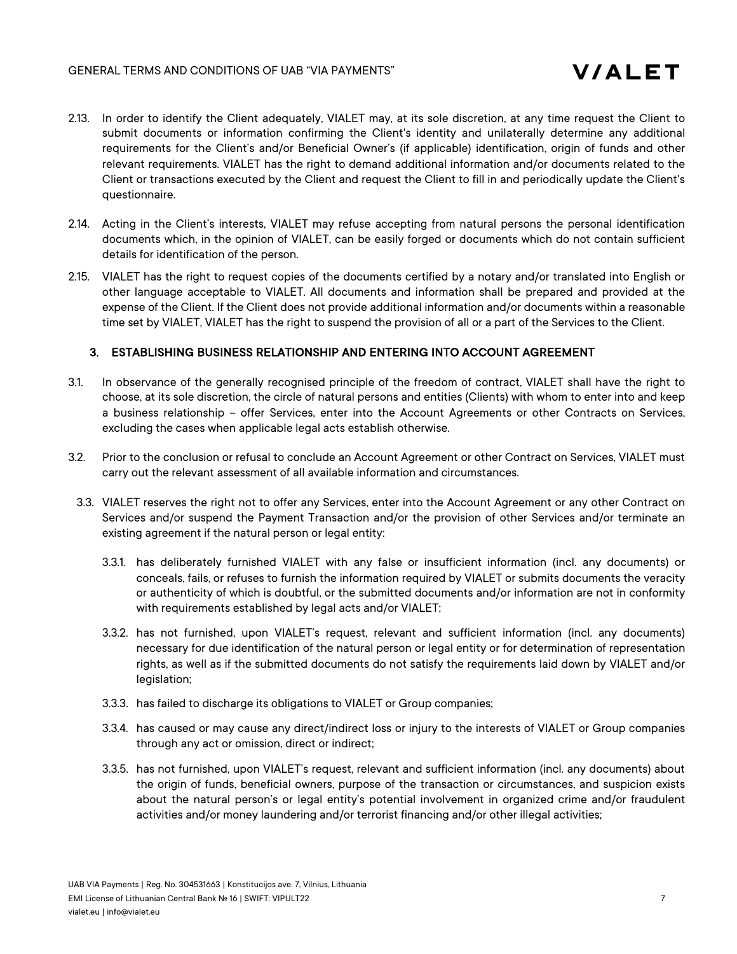- 2.13. In order to identify the Client adequately, VIALET may, at its sole discretion, at any time request the Client to submit documents or information confirming the Client's identity and unilaterally determine any additional requirements for the Client's and/or Beneficial Owner's (if applicable) identification, origin of funds and other relevant requirements. VIALET has the right to demand additional information and/or documents related to the Client or transactions executed by the Client and request the Client to fill in and periodically update the Client's questionnaire.
- 2.14. Acting in the Client's interests, VIALET may refuse accepting from natural persons the personal identification documents which, in the opinion of VIALET, can be easily forged or documents which do not contain sufficient details for identification of the person.
- 2.15. VIALET has the right to request copies of the documents certified by a notary and/or translated into English or other language acceptable to VIALET. All documents and information shall be prepared and provided at the expense of the Client. If the Client does not provide additional information and/or documents within a reasonable time set by VIALET, VIALET has the right to suspend the provision of all or a part of the Services to the Client.

### 3. ESTABLISHING BUSINESS RELATIONSHIP AND ENTERING INTO ACCOUNT AGREEMENT

- 3.1. In observance of the generally recognised principle of the freedom of contract, VIALET shall have the right to choose, at its sole discretion, the circle of natural persons and entities (Clients) with whom to enter into and keep a business relationship – offer Services, enter into the Account Agreements or other Contracts on Services, excluding the cases when applicable legal acts establish otherwise.
- 3.2. Prior to the conclusion or refusal to conclude an Account Agreement or other Contract on Services, VIALET must carry out the relevant assessment of all available information and circumstances.
- 3.3. VIALET reserves the right not to offer any Services, enter into the Account Agreement or any other Contract on Services and/or suspend the Payment Transaction and/or the provision of other Services and/or terminate an existing agreement if the natural person or legal entity:
	- 3.3.1. has deliberately furnished VIALET with any false or insufficient information (incl. any documents) or conceals, fails, or refuses to furnish the information required by VIALET or submits documents the veracity or authenticity of which is doubtful, or the submitted documents and/or information are not in conformity with requirements established by legal acts and/or VIALET;
	- 3.3.2. has not furnished, upon VIALET's request, relevant and sufficient information (incl. any documents) necessary for due identification of the natural person or legal entity or for determination of representation rights, as well as if the submitted documents do not satisfy the requirements laid down by VIALET and/or legislation;
	- 3.3.3. has failed to discharge its obligations to VIALET or Group companies;
	- 3.3.4. has caused or may cause any direct/indirect loss or injury to the interests of VIALET or Group companies through any act or omission, direct or indirect;
	- 3.3.5. has not furnished, upon VIALET's request, relevant and sufficient information (incl. any documents) about the origin of funds, beneficial owners, purpose of the transaction or circumstances, and suspicion exists about the natural person's or legal entity's potential involvement in organized crime and/or fraudulent activities and/or money laundering and/or terrorist financing and/or other illegal activities;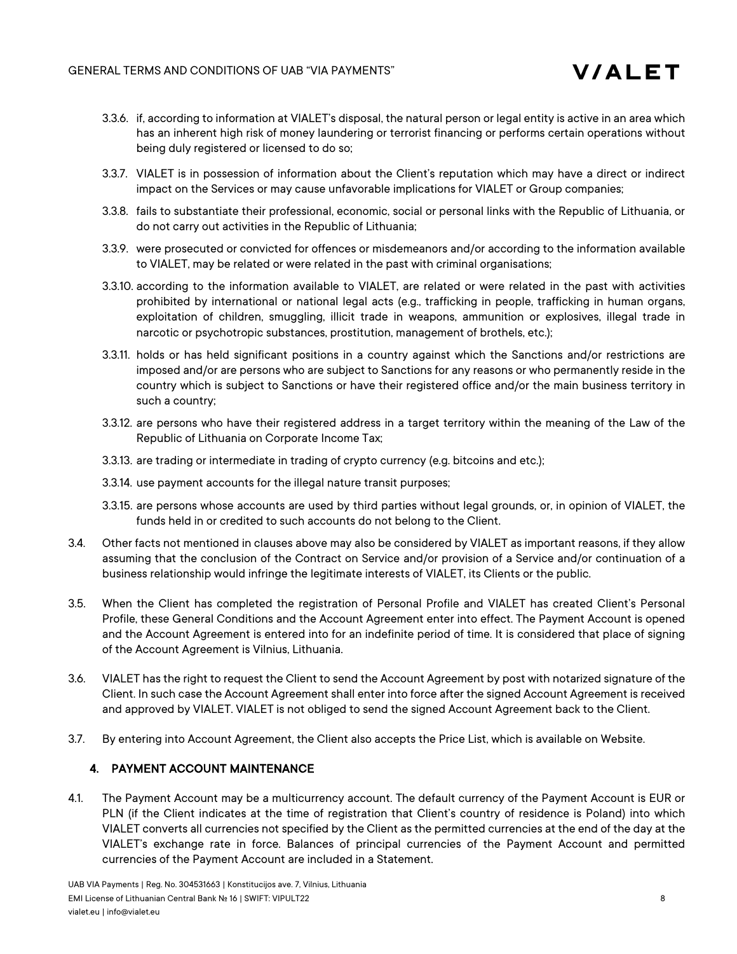

- 3.3.6. if, according to information at VIALET's disposal, the natural person or legal entity is active in an area which has an inherent high risk of money laundering or terrorist financing or performs certain operations without being duly registered or licensed to do so;
- 3.3.7. VIALET is in possession of information about the Client's reputation which may have a direct or indirect impact on the Services or may cause unfavorable implications for VIALET or Group companies;
- 3.3.8. fails to substantiate their professional, economic, social or personal links with the Republic of Lithuania, or do not carry out activities in the Republic of Lithuania;
- 3.3.9. were prosecuted or convicted for offences or misdemeanors and/or according to the information available to VIALET, may be related or were related in the past with criminal organisations;
- 3.3.10. according to the information available to VIALET, are related or were related in the past with activities prohibited by international or national legal acts (e.g., trafficking in people, trafficking in human organs, exploitation of children, smuggling, illicit trade in weapons, ammunition or explosives, illegal trade in narcotic or psychotropic substances, prostitution, management of brothels, etc.);
- 3.3.11. holds or has held significant positions in a country against which the Sanctions and/or restrictions are imposed and/or are persons who are subject to Sanctions for any reasons or who permanently reside in the country which is subject to Sanctions or have their registered office and/or the main business territory in such a country;
- 3.3.12. are persons who have their registered address in a target territory within the meaning of the Law of the Republic of Lithuania on Corporate Income Tax;
- 3.3.13. are trading or intermediate in trading of crypto currency (e.g. bitcoins and etc.);
- 3.3.14. use payment accounts for the illegal nature transit purposes;
- 3.3.15. are persons whose accounts are used by third parties without legal grounds, or, in opinion of VIALET, the funds held in or credited to such accounts do not belong to the Client.
- 3.4. Other facts not mentioned in clauses above may also be considered by VIALET as important reasons, if they allow assuming that the conclusion of the Contract on Service and/or provision of a Service and/or continuation of a business relationship would infringe the legitimate interests of VIALET, its Clients or the public.
- 3.5. When the Client has completed the registration of Personal Profile and VIALET has created Client's Personal Profile, these General Conditions and the Account Agreement enter into effect. The Payment Account is opened and the Account Agreement is entered into for an indefinite period of time. It is considered that place of signing of the Account Agreement is Vilnius, Lithuania.
- 3.6. VIALET has the right to request the Client to send the Account Agreement by post with notarized signature of the Client. In such case the Account Agreement shall enter into force after the signed Account Agreement is received and approved by VIALET. VIALET is not obliged to send the signed Account Agreement back to the Client.
- 3.7. By entering into Account Agreement, the Client also accepts the Price List, which is available on Website.

# 4. PAYMENT ACCOUNT MAINTENANCE

4.1. The Payment Account may be a multicurrency account. The default currency of the Payment Account is EUR or PLN (if the Client indicates at the time of registration that Client's country of residence is Poland) into which VIALET converts all currencies not specified by the Client as the permitted currencies at the end of the day at the VIALET's exchange rate in force. Balances of principal currencies of the Payment Account and permitted currencies of the Payment Account are included in a Statement.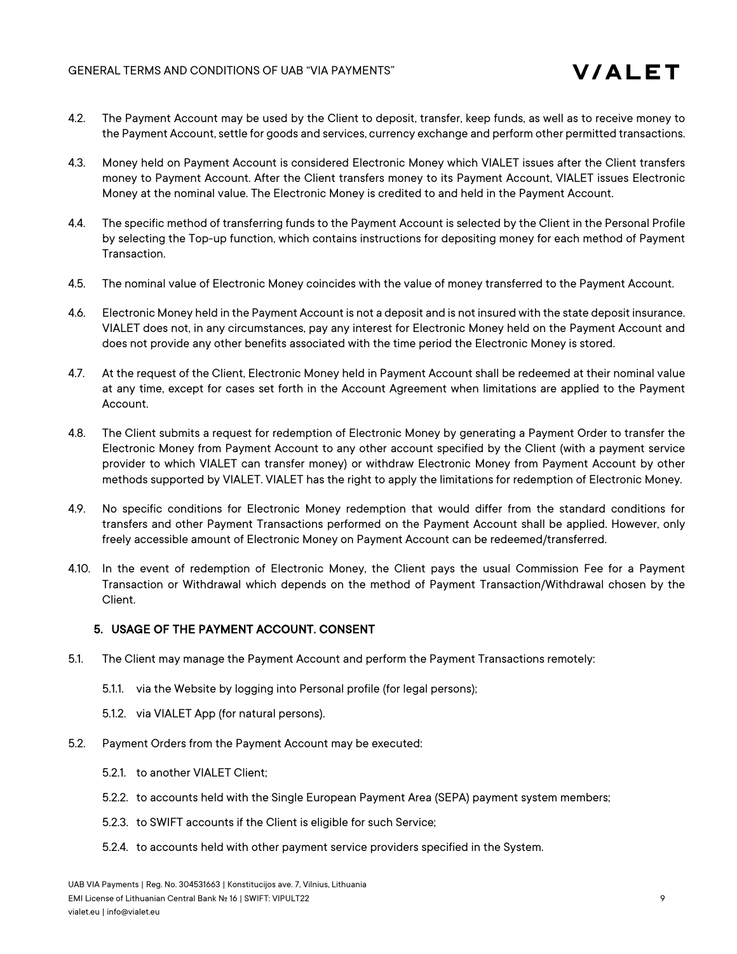- 4.2. The Payment Account may be used by the Client to deposit, transfer, keep funds, as well as to receive money to the Payment Account, settle for goods and services, currency exchange and perform other permitted transactions.
- 4.3. Money held on Payment Account is considered Electronic Money which VIALET issues after the Client transfers money to Payment Account. After the Client transfers money to its Payment Account, VIALET issues Electronic Money at the nominal value. The Electronic Money is credited to and held in the Payment Account.
- 4.4. The specific method of transferring funds to the Payment Account is selected by the Client in the Personal Profile by selecting the Top-up function, which contains instructions for depositing money for each method of Payment Transaction.
- 4.5. The nominal value of Electronic Money coincides with the value of money transferred to the Payment Account.
- 4.6. Electronic Money held in the Payment Account is not a deposit and is not insured with the state deposit insurance. VIALET does not, in any circumstances, pay any interest for Electronic Money held on the Payment Account and does not provide any other benefits associated with the time period the Electronic Money is stored.
- 4.7. At the request of the Client, Electronic Money held in Payment Account shall be redeemed at their nominal value at any time, except for cases set forth in the Account Agreement when limitations are applied to the Payment Account.
- 4.8. The Client submits a request for redemption of Electronic Money by generating a Payment Order to transfer the Electronic Money from Payment Account to any other account specified by the Client (with a payment service provider to which VIALET can transfer money) or withdraw Electronic Money from Payment Account by other methods supported by VIALET. VIALET has the right to apply the limitations for redemption of Electronic Money.
- 4.9. No specific conditions for Electronic Money redemption that would differ from the standard conditions for transfers and other Payment Transactions performed on the Payment Account shall be applied. However, only freely accessible amount of Electronic Money on Payment Account can be redeemed/transferred.
- 4.10. In the event of redemption of Electronic Money, the Client pays the usual Commission Fee for a Payment Transaction or Withdrawal which depends on the method of Payment Transaction/Withdrawal chosen by the Client.

# 5. USAGE OF THE PAYMENT ACCOUNT. CONSENT

- 5.1. The Client may manage the Payment Account and perform the Payment Transactions remotely:
	- 5.1.1. via the Website by logging into Personal profile (for legal persons);
	- 5.1.2. via VIALET App (for natural persons).
- 5.2. Payment Orders from the Payment Account may be executed:
	- 5.2.1. to another VIALET Client;
	- 5.2.2. to accounts held with the Single European Payment Area (SEPA) payment system members;
	- 5.2.3. to SWIFT accounts if the Client is eligible for such Service;
	- 5.2.4. to accounts held with other payment service providers specified in the System.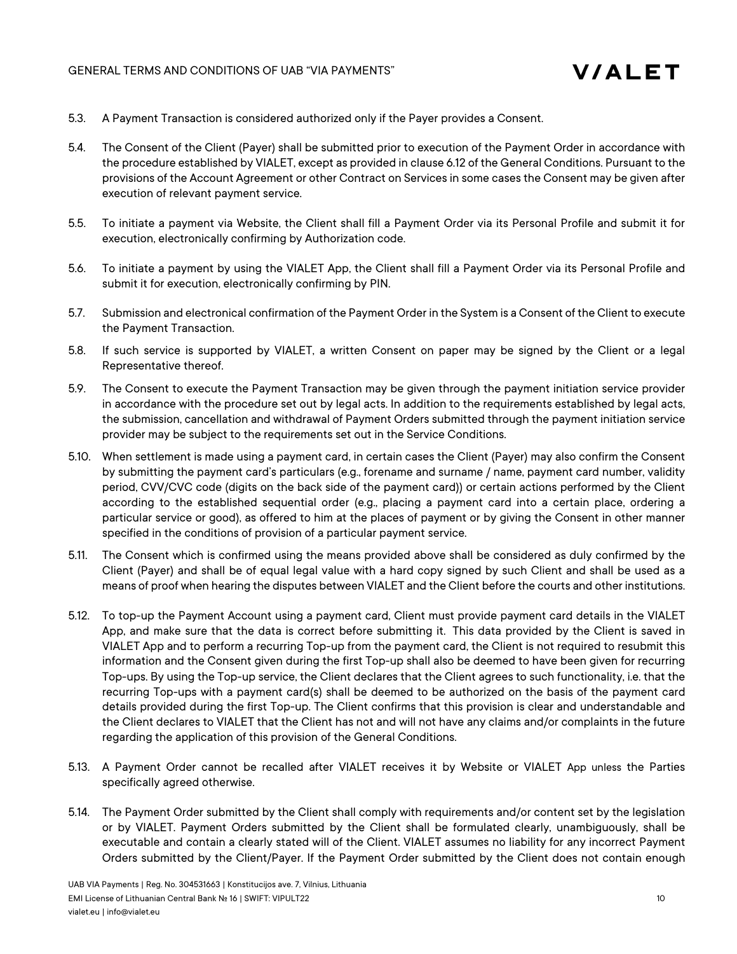

- 5.3. A Payment Transaction is considered authorized only if the Payer provides a Consent.
- 5.4. The Consent of the Client (Payer) shall be submitted prior to execution of the Payment Order in accordance with the procedure established by VIALET, except as provided in clause 6.12 of the General Conditions. Pursuant to the provisions of the Account Agreement or other Contract on Services in some cases the Consent may be given after execution of relevant payment service.
- 5.5. To initiate a payment via Website, the Client shall fill a Payment Order via its Personal Profile and submit it for execution, electronically confirming by Authorization code.
- 5.6. To initiate a payment by using the VIALET App, the Client shall fill a Payment Order via its Personal Profile and submit it for execution, electronically confirming by PIN.
- 5.7. Submission and electronical confirmation of the Payment Order in the System is a Consent of the Client to execute the Payment Transaction.
- 5.8. If such service is supported by VIALET, a written Consent on paper may be signed by the Client or a legal Representative thereof.
- 5.9. The Consent to execute the Payment Transaction may be given through the payment initiation service provider in accordance with the procedure set out by legal acts. In addition to the requirements established by legal acts, the submission, cancellation and withdrawal of Payment Orders submitted through the payment initiation service provider may be subject to the requirements set out in the Service Conditions.
- 5.10. When settlement is made using a payment card, in certain cases the Client (Payer) may also confirm the Consent by submitting the payment card's particulars (e.g., forename and surname / name, payment card number, validity period, CVV/CVC code (digits on the back side of the payment card)) or certain actions performed by the Client according to the established sequential order (e.g., placing a payment card into a certain place, ordering a particular service or good), as offered to him at the places of payment or by giving the Consent in other manner specified in the conditions of provision of a particular payment service.
- 5.11. The Consent which is confirmed using the means provided above shall be considered as duly confirmed by the Client (Payer) and shall be of equal legal value with a hard copy signed by such Client and shall be used as a means of proof when hearing the disputes between VIALET and the Client before the courts and other institutions.
- 5.12. To top-up the Payment Account using a payment card, Client must provide payment card details in the VIALET App, and make sure that the data is correct before submitting it. This data provided by the Client is saved in VIALET App and to perform a recurring Top-up from the payment card, the Client is not required to resubmit this information and the Consent given during the first Top-up shall also be deemed to have been given for recurring Top-ups. By using the Top-up service, the Client declares that the Client agrees to such functionality, i.e. that the recurring Top-ups with a payment card(s) shall be deemed to be authorized on the basis of the payment card details provided during the first Top-up. The Client confirms that this provision is clear and understandable and the Client declares to VIALET that the Client has not and will not have any claims and/or complaints in the future regarding the application of this provision of the General Conditions.
- 5.13. A Payment Order cannot be recalled after VIALET receives it by Website or VIALET App unless the Parties specifically agreed otherwise.
- 5.14. The Payment Order submitted by the Client shall comply with requirements and/or content set by the legislation or by VIALET. Payment Orders submitted by the Client shall be formulated clearly, unambiguously, shall be executable and contain a clearly stated will of the Client. VIALET assumes no liability for any incorrect Payment Orders submitted by the Client/Payer. If the Payment Order submitted by the Client does not contain enough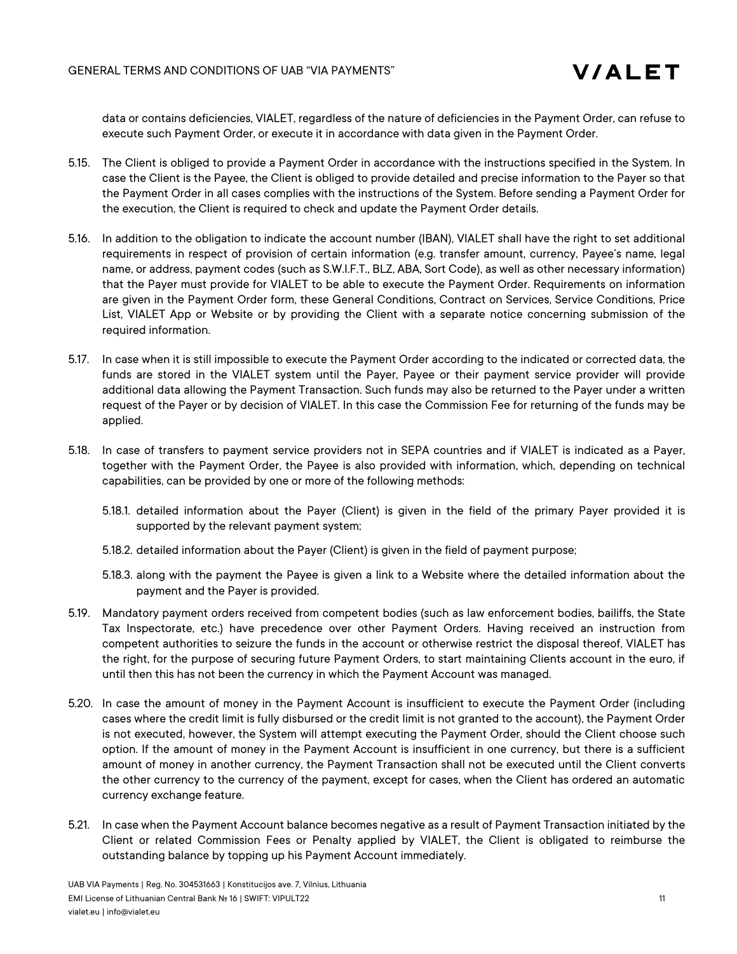data or contains deficiencies, VIALET, regardless of the nature of deficiencies in the Payment Order, can refuse to execute such Payment Order, or execute it in accordance with data given in the Payment Order.

- 5.15. The Client is obliged to provide a Payment Order in accordance with the instructions specified in the System. In case the Client is the Payee, the Client is obliged to provide detailed and precise information to the Payer so that the Payment Order in all cases complies with the instructions of the System. Before sending a Payment Order for the execution, the Client is required to check and update the Payment Order details.
- 5.16. In addition to the obligation to indicate the account number (IBAN), VIALET shall have the right to set additional requirements in respect of provision of certain information (e.g. transfer amount, currency, Payee's name, legal name, or address, payment codes (such as S.W.I.F.T., BLZ, ABA, Sort Code), as well as other necessary information) that the Payer must provide for VIALET to be able to execute the Payment Order. Requirements on information are given in the Payment Order form, these General Conditions, Contract on Services, Service Conditions, Price List, VIALET App or Website or by providing the Client with a separate notice concerning submission of the required information.
- 5.17. In case when it is still impossible to execute the Payment Order according to the indicated or corrected data, the funds are stored in the VIALET system until the Payer, Payee or their payment service provider will provide additional data allowing the Payment Transaction. Such funds may also be returned to the Payer under a written request of the Payer or by decision of VIALET. In this case the Commission Fee for returning of the funds may be applied.
- 5.18. In case of transfers to payment service providers not in SEPA countries and if VIALET is indicated as a Payer, together with the Payment Order, the Payee is also provided with information, which, depending on technical capabilities, can be provided by one or more of the following methods:
	- 5.18.1. detailed information about the Payer (Client) is given in the field of the primary Payer provided it is supported by the relevant payment system;
	- 5.18.2. detailed information about the Payer (Client) is given in the field of payment purpose;
	- 5.18.3. along with the payment the Payee is given a link to a Website where the detailed information about the payment and the Payer is provided.
- 5.19. Mandatory payment orders received from competent bodies (such as law enforcement bodies, bailiffs, the State Tax Inspectorate, etc.) have precedence over other Payment Orders. Having received an instruction from competent authorities to seizure the funds in the account or otherwise restrict the disposal thereof, VIALET has the right, for the purpose of securing future Payment Orders, to start maintaining Clients account in the euro, if until then this has not been the currency in which the Payment Account was managed.
- 5.20. In case the amount of money in the Payment Account is insufficient to execute the Payment Order (including cases where the credit limit is fully disbursed or the credit limit is not granted to the account), the Payment Order is not executed, however, the System will attempt executing the Payment Order, should the Client choose such option. If the amount of money in the Payment Account is insufficient in one currency, but there is a sufficient amount of money in another currency, the Payment Transaction shall not be executed until the Client converts the other currency to the currency of the payment, except for cases, when the Client has ordered an automatic currency exchange feature.
- 5.21. In case when the Payment Account balance becomes negative as a result of Payment Transaction initiated by the Client or related Commission Fees or Penalty applied by VIALET, the Client is obligated to reimburse the outstanding balance by topping up his Payment Account immediately.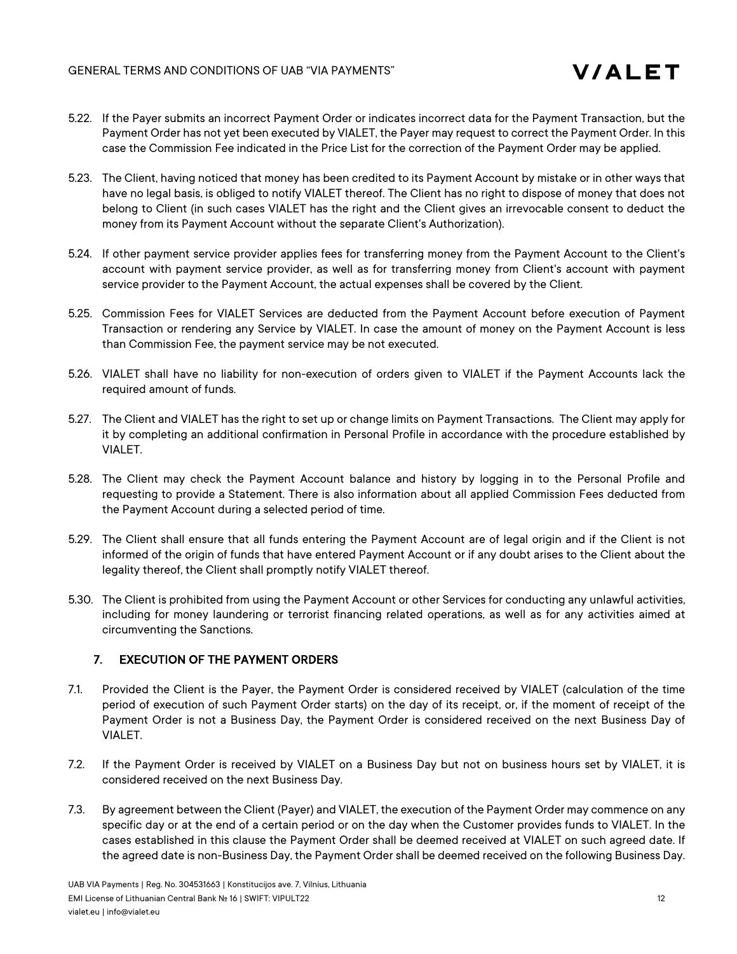

- 5.22. If the Payer submits an incorrect Payment Order or indicates incorrect data for the Payment Transaction, but the Payment Order has not yet been executed by VIALET, the Payer may request to correct the Payment Order. In this case the Commission Fee indicated in the Price List for the correction of the Payment Order may be applied.
- 5.23. The Client, having noticed that money has been credited to its Payment Account by mistake or in other ways that have no legal basis, is obliged to notify VIALET thereof. The Client has no right to dispose of money that does not belong to Client (in such cases VIALET has the right and the Client gives an irrevocable consent to deduct the money from its Payment Account without the separate Client's Authorization).
- 5.24. If other payment service provider applies fees for transferring money from the Payment Account to the Client's account with payment service provider, as well as for transferring money from Client's account with payment service provider to the Payment Account, the actual expenses shall be covered by the Client.
- 5.25. Commission Fees for VIALET Services are deducted from the Payment Account before execution of Payment Transaction or rendering any Service by VIALET. In case the amount of money on the Payment Account is less than Commission Fee, the payment service may be not executed.
- 5.26. VIALET shall have no liability for non-execution of orders given to VIALET if the Payment Accounts lack the required amount of funds.
- 5.27. The Client and VIALET has the right to set up or change limits on Payment Transactions. The Client may apply for it by completing an additional confirmation in Personal Profile in accordance with the procedure established by VIALET.
- 5.28. The Client may check the Payment Account balance and history by logging in to the Personal Profile and requesting to provide a Statement. There is also information about all applied Commission Fees deducted from the Payment Account during a selected period of time.
- 5.29. The Client shall ensure that all funds entering the Payment Account are of legal origin and if the Client is not informed of the origin of funds that have entered Payment Account or if any doubt arises to the Client about the legality thereof, the Client shall promptly notify VIALET thereof.
- 5.30. The Client is prohibited from using the Payment Account or other Services for conducting any unlawful activities, including for money laundering or terrorist financing related operations, as well as for any activities aimed at circumventing the Sanctions.

# 7. EXECUTION OF THE PAYMENT ORDERS

- 7.1. Provided the Client is the Payer, the Payment Order is considered received by VIALET (calculation of the time period of execution of such Payment Order starts) on the day of its receipt, or, if the moment of receipt of the Payment Order is not a Business Day, the Payment Order is considered received on the next Business Day of VIALET.
- 7.2. If the Payment Order is received by VIALET on a Business Day but not on business hours set by VIALET, it is considered received on the next Business Day.
- 7.3. By agreement between the Client (Payer) and VIALET, the execution of the Payment Order may commence on any specific day or at the end of a certain period or on the day when the Customer provides funds to VIALET. In the cases established in this clause the Payment Order shall be deemed received at VIALET on such agreed date. If the agreed date is non-Business Day, the Payment Order shall be deemed received on the following Business Day.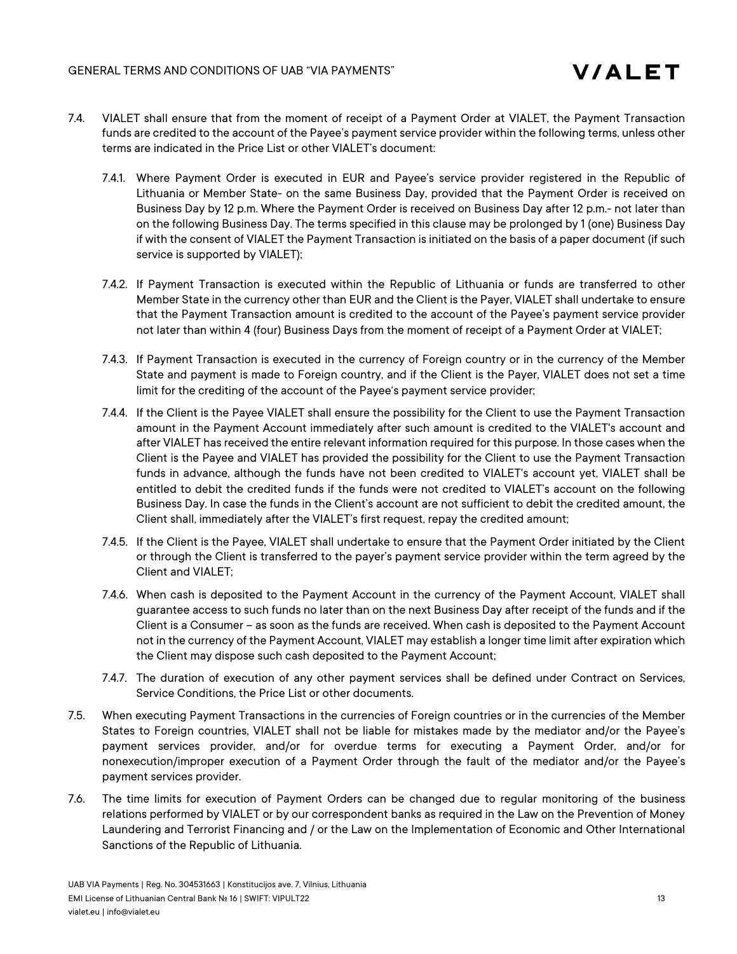- 7.4. VIALET shall ensure that from the moment of receipt of a Payment Order at VIALET, the Payment Transaction funds are credited to the account of the Payee's payment service provider within the following terms, unless other terms are indicated in the Price List or other VIALET's document:
	- 7.4.1. Where Payment Order is executed in EUR and Payee's service provider registered in the Republic of Lithuania or Member State- on the same Business Day, provided that the Payment Order is received on Business Day by 12 p.m. Where the Payment Order is received on Business Day after 12 p.m.- not later than on the following Business Day. The terms specified in this clause may be prolonged by 1 (one) Business Day if with the consent of VIALET the Payment Transaction is initiated on the basis of a paper document (if such service is supported by VIALET);
	- 7.4.2. If Payment Transaction is executed within the Republic of Lithuania or funds are transferred to other Member State in the currency other than EUR and the Client is the Payer, VIALET shall undertake to ensure that the Payment Transaction amount is credited to the account of the Payee's payment service provider not later than within 4 (four) Business Days from the moment of receipt of a Payment Order at VIALET;
	- 7.4.3. If Payment Transaction is executed in the currency of Foreign country or in the currency of the Member State and payment is made to Foreign country, and if the Client is the Payer, VIALET does not set a time limit for the crediting of the account of the Payee's payment service provider;
	- 7.4.4. If the Client is the Payee VIALET shall ensure the possibility for the Client to use the Payment Transaction amount in the Payment Account immediately after such amount is credited to the VIALET's account and after VIALET has received the entire relevant information required for this purpose. In those cases when the Client is the Payee and VIALET has provided the possibility for the Client to use the Payment Transaction funds in advance, although the funds have not been credited to VIALET's account yet, VIALET shall be entitled to debit the credited funds if the funds were not credited to VIALET's account on the following Business Day. In case the funds in the Client's account are not sufficient to debit the credited amount, the Client shall, immediately after the VIALET's first request, repay the credited amount;
	- 7.4.5. If the Client is the Payee, VIALET shall undertake to ensure that the Payment Order initiated by the Client or through the Client is transferred to the payer's payment service provider within the term agreed by the Client and VIALET;
	- 7.4.6. When cash is deposited to the Payment Account in the currency of the Payment Account, VIALET shall guarantee access to such funds no later than on the next Business Day after receipt of the funds and if the Client is a Consumer – as soon as the funds are received. When cash is deposited to the Payment Account not in the currency of the Payment Account, VIALET may establish a longer time limit after expiration which the Client may dispose such cash deposited to the Payment Account;
	- 7.4.7. The duration of execution of any other payment services shall be defined under Contract on Services, Service Conditions, the Price List or other documents.
- 7.5. When executing Payment Transactions in the currencies of Foreign countries or in the currencies of the Member States to Foreign countries, VIALET shall not be liable for mistakes made by the mediator and/or the Payee's payment services provider, and/or for overdue terms for executing a Payment Order, and/or for nonexecution/improper execution of a Payment Order through the fault of the mediator and/or the Payee's payment services provider.
- 7.6. The time limits for execution of Payment Orders can be changed due to regular monitoring of the business relations performed by VIALET or by our correspondent banks as required in the Law on the Prevention of Money Laundering and Terrorist Financing and / or the Law on the Implementation of Economic and Other International Sanctions of the Republic of Lithuania.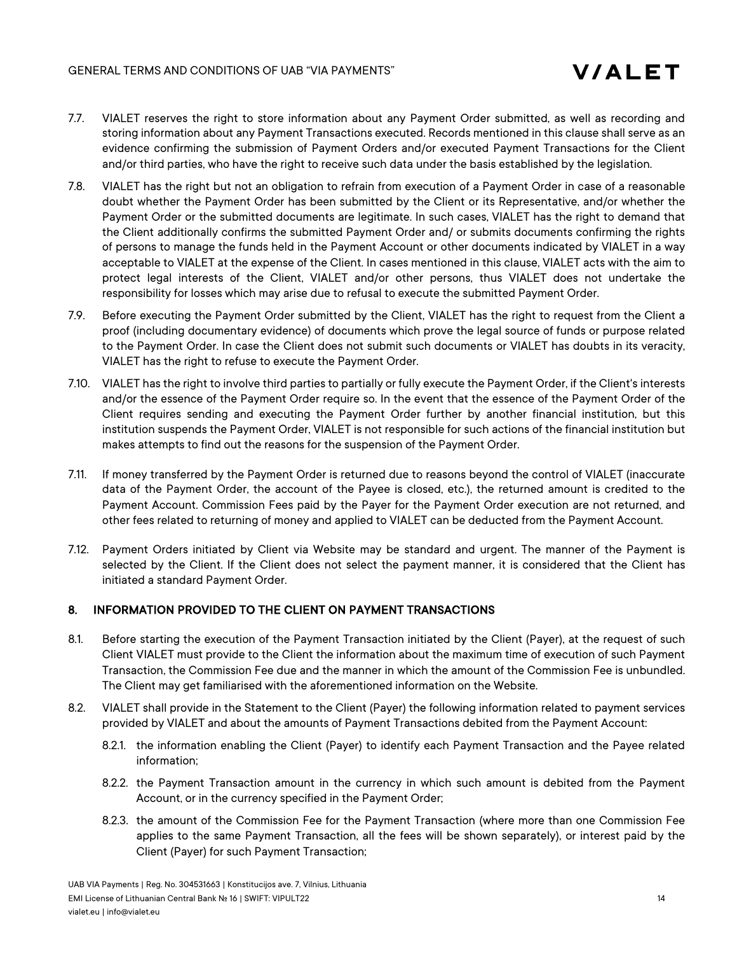- 7.7. VIALET reserves the right to store information about any Payment Order submitted, as well as recording and storing information about any Payment Transactions executed. Records mentioned in this clause shall serve as an evidence confirming the submission of Payment Orders and/or executed Payment Transactions for the Client and/or third parties, who have the right to receive such data under the basis established by the legislation.
- 7.8. VIALET has the right but not an obligation to refrain from execution of a Payment Order in case of a reasonable doubt whether the Payment Order has been submitted by the Client or its Representative, and/or whether the Payment Order or the submitted documents are legitimate. In such cases, VIALET has the right to demand that the Client additionally confirms the submitted Payment Order and/ or submits documents confirming the rights of persons to manage the funds held in the Payment Account or other documents indicated by VIALET in a way acceptable to VIALET at the expense of the Client. In cases mentioned in this clause, VIALET acts with the aim to protect legal interests of the Client, VIALET and/or other persons, thus VIALET does not undertake the responsibility for losses which may arise due to refusal to execute the submitted Payment Order.
- 7.9. Before executing the Payment Order submitted by the Client, VIALET has the right to request from the Client a proof (including documentary evidence) of documents which prove the legal source of funds or purpose related to the Payment Order. In case the Client does not submit such documents or VIALET has doubts in its veracity, VIALET has the right to refuse to execute the Payment Order.
- 7.10. VIALET has the right to involve third parties to partially or fully execute the Payment Order, if the Client's interests and/or the essence of the Payment Order require so. In the event that the essence of the Payment Order of the Client requires sending and executing the Payment Order further by another financial institution, but this institution suspends the Payment Order, VIALET is not responsible for such actions of the financial institution but makes attempts to find out the reasons for the suspension of the Payment Order.
- 7.11. If money transferred by the Payment Order is returned due to reasons beyond the control of VIALET (inaccurate data of the Payment Order, the account of the Payee is closed, etc.), the returned amount is credited to the Payment Account. Commission Fees paid by the Payer for the Payment Order execution are not returned, and other fees related to returning of money and applied to VIALET can be deducted from the Payment Account.
- 7.12. Payment Orders initiated by Client via Website may be standard and urgent. The manner of the Payment is selected by the Client. If the Client does not select the payment manner, it is considered that the Client has initiated a standard Payment Order.

# 8. INFORMATION PROVIDED TO THE CLIENT ON PAYMENT TRANSACTIONS

- 8.1. Before starting the execution of the Payment Transaction initiated by the Client (Payer), at the request of such Client VIALET must provide to the Client the information about the maximum time of execution of such Payment Transaction, the Commission Fee due and the manner in which the amount of the Commission Fee is unbundled. The Client may get familiarised with the aforementioned information on the Website.
- 8.2. VIALET shall provide in the Statement to the Client (Payer) the following information related to payment services provided by VIALET and about the amounts of Payment Transactions debited from the Payment Account:
	- 8.2.1. the information enabling the Client (Payer) to identify each Payment Transaction and the Payee related information;
	- 8.2.2. the Payment Transaction amount in the currency in which such amount is debited from the Payment Account, or in the currency specified in the Payment Order;
	- 8.2.3. the amount of the Commission Fee for the Payment Transaction (where more than one Commission Fee applies to the same Payment Transaction, all the fees will be shown separately), or interest paid by the Client (Payer) for such Payment Transaction;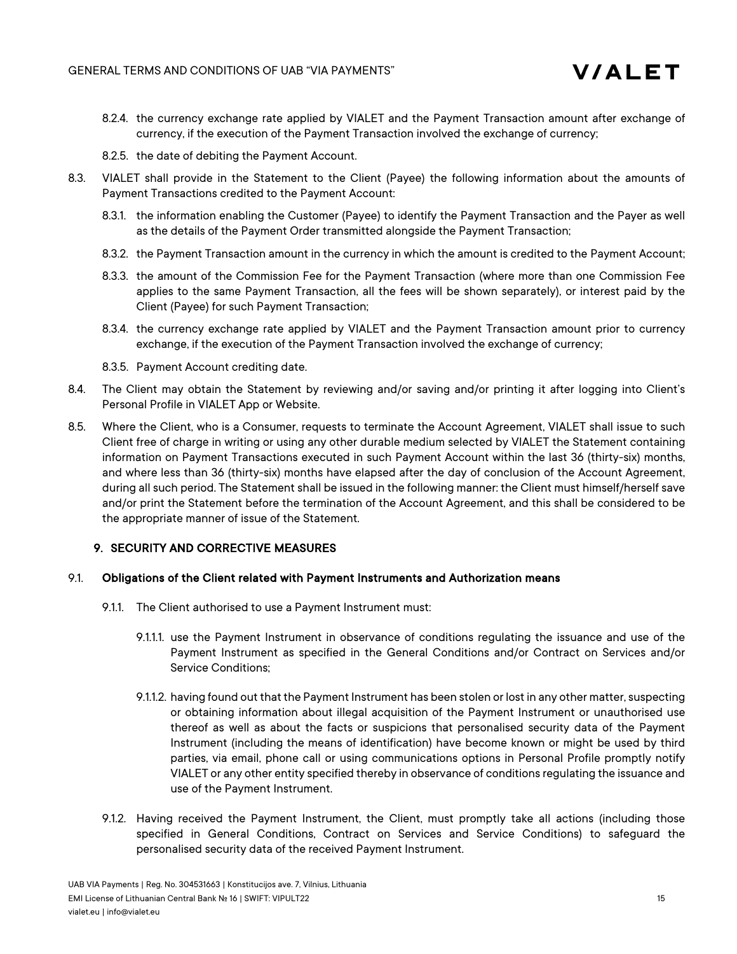

- 8.2.4. the currency exchange rate applied by VIALET and the Payment Transaction amount after exchange of currency, if the execution of the Payment Transaction involved the exchange of currency;
- 8.2.5. the date of debiting the Payment Account.
- 8.3. VIALET shall provide in the Statement to the Client (Payee) the following information about the amounts of Payment Transactions credited to the Payment Account:
	- 8.3.1. the information enabling the Customer (Payee) to identify the Payment Transaction and the Payer as well as the details of the Payment Order transmitted alongside the Payment Transaction;
	- 8.3.2. the Payment Transaction amount in the currency in which the amount is credited to the Payment Account;
	- 8.3.3. the amount of the Commission Fee for the Payment Transaction (where more than one Commission Fee applies to the same Payment Transaction, all the fees will be shown separately), or interest paid by the Client (Payee) for such Payment Transaction;
	- 8.3.4. the currency exchange rate applied by VIALET and the Payment Transaction amount prior to currency exchange, if the execution of the Payment Transaction involved the exchange of currency;
	- 8.3.5. Payment Account crediting date.
- 8.4. The Client may obtain the Statement by reviewing and/or saving and/or printing it after logging into Client's Personal Profile in VIALET App or Website.
- 8.5. Where the Client, who is a Consumer, requests to terminate the Account Agreement, VIALET shall issue to such Client free of charge in writing or using any other durable medium selected by VIALET the Statement containing information on Payment Transactions executed in such Payment Account within the last 36 (thirty-six) months, and where less than 36 (thirty-six) months have elapsed after the day of conclusion of the Account Agreement, during all such period. The Statement shall be issued in the following manner: the Client must himself/herself save and/or print the Statement before the termination of the Account Agreement, and this shall be considered to be the appropriate manner of issue of the Statement.

# 9. SECURITY AND CORRECTIVE MEASURES

#### 9.1. Obligations of the Client related with Payment Instruments and Authorization means

- 9.1.1. The Client authorised to use a Payment Instrument must:
	- 9.1.1.1. use the Payment Instrument in observance of conditions regulating the issuance and use of the Payment Instrument as specified in the General Conditions and/or Contract on Services and/or Service Conditions;
	- 9.1.1.2. having found out that the Payment Instrument has been stolen or lost in any other matter, suspecting or obtaining information about illegal acquisition of the Payment Instrument or unauthorised use thereof as well as about the facts or suspicions that personalised security data of the Payment Instrument (including the means of identification) have become known or might be used by third parties, via email, phone call or using communications options in Personal Profile promptly notify VIALET or any other entity specified thereby in observance of conditions regulating the issuance and use of the Payment Instrument.
- 9.1.2. Having received the Payment Instrument, the Client, must promptly take all actions (including those specified in General Conditions, Contract on Services and Service Conditions) to safeguard the personalised security data of the received Payment Instrument.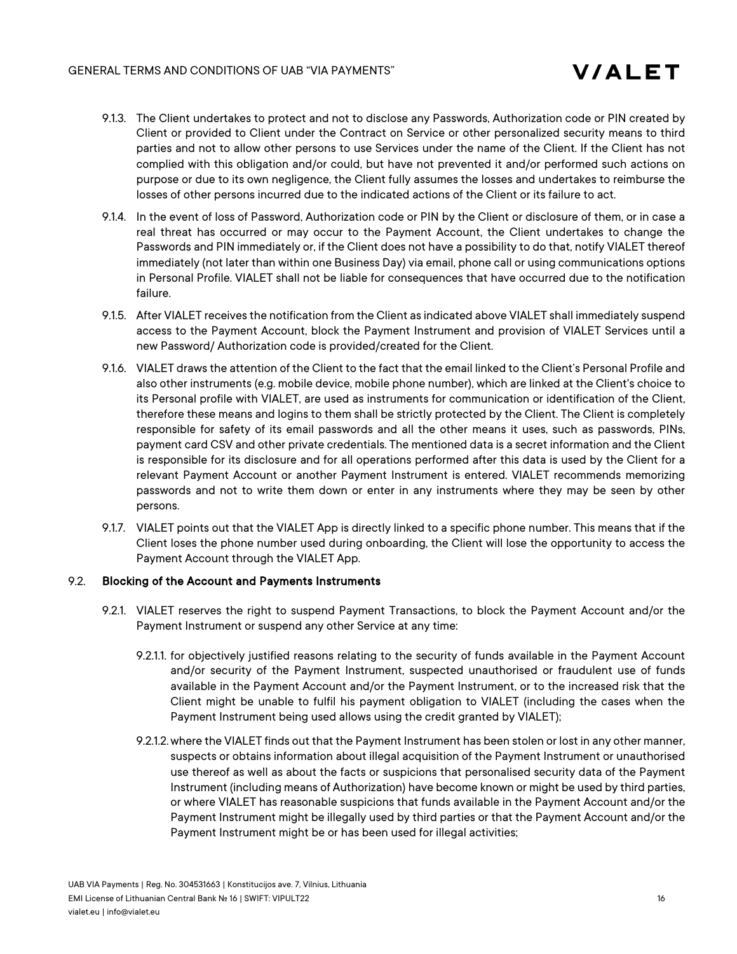- 9.1.3. The Client undertakes to protect and not to disclose any Passwords, Authorization code or PIN created by Client or provided to Client under the Contract on Service or other personalized security means to third parties and not to allow other persons to use Services under the name of the Client. If the Client has not complied with this obligation and/or could, but have not prevented it and/or performed such actions on purpose or due to its own negligence, the Client fully assumes the losses and undertakes to reimburse the losses of other persons incurred due to the indicated actions of the Client or its failure to act.
- 9.1.4. In the event of loss of Password, Authorization code or PIN by the Client or disclosure of them, or in case a real threat has occurred or may occur to the Payment Account, the Client undertakes to change the Passwords and PIN immediately or, if the Client does not have a possibility to do that, notify VIALET thereof immediately (not later than within one Business Day) via email, phone call or using communications options in Personal Profile. VIALET shall not be liable for consequences that have occurred due to the notification failure.
- 9.1.5. After VIALET receives the notification from the Client as indicated above VIALET shall immediately suspend access to the Payment Account, block the Payment Instrument and provision of VIALET Services until a new Password/ Authorization code is provided/created for the Client.
- 9.1.6. VIALET draws the attention of the Client to the fact that the email linked to the Client's Personal Profile and also other instruments (e.g. mobile device, mobile phone number), which are linked at the Client's choice to its Personal profile with VIALET, are used as instruments for communication or identification of the Client, therefore these means and logins to them shall be strictly protected by the Client. The Client is completely responsible for safety of its email passwords and all the other means it uses, such as passwords, PINs, payment card CSV and other private credentials. The mentioned data is a secret information and the Client is responsible for its disclosure and for all operations performed after this data is used by the Client for a relevant Payment Account or another Payment Instrument is entered. VIALET recommends memorizing passwords and not to write them down or enter in any instruments where they may be seen by other persons.
- 9.1.7. VIALET points out that the VIALET App is directly linked to a specific phone number. This means that if the Client loses the phone number used during onboarding, the Client will lose the opportunity to access the Payment Account through the VIALET App.

#### 9.2. Blocking of the Account and Payments Instruments

- 9.2.1. VIALET reserves the right to suspend Payment Transactions, to block the Payment Account and/or the Payment Instrument or suspend any other Service at any time:
	- 9.2.1.1. for objectively justified reasons relating to the security of funds available in the Payment Account and/or security of the Payment Instrument, suspected unauthorised or fraudulent use of funds available in the Payment Account and/or the Payment Instrument, or to the increased risk that the Client might be unable to fulfil his payment obligation to VIALET (including the cases when the Payment Instrument being used allows using the credit granted by VIALET);
	- 9.2.1.2.where the VIALET finds out that the Payment Instrument has been stolen or lost in any other manner, suspects or obtains information about illegal acquisition of the Payment Instrument or unauthorised use thereof as well as about the facts or suspicions that personalised security data of the Payment Instrument (including means of Authorization) have become known or might be used by third parties, or where VIALET has reasonable suspicions that funds available in the Payment Account and/or the Payment Instrument might be illegally used by third parties or that the Payment Account and/or the Payment Instrument might be or has been used for illegal activities;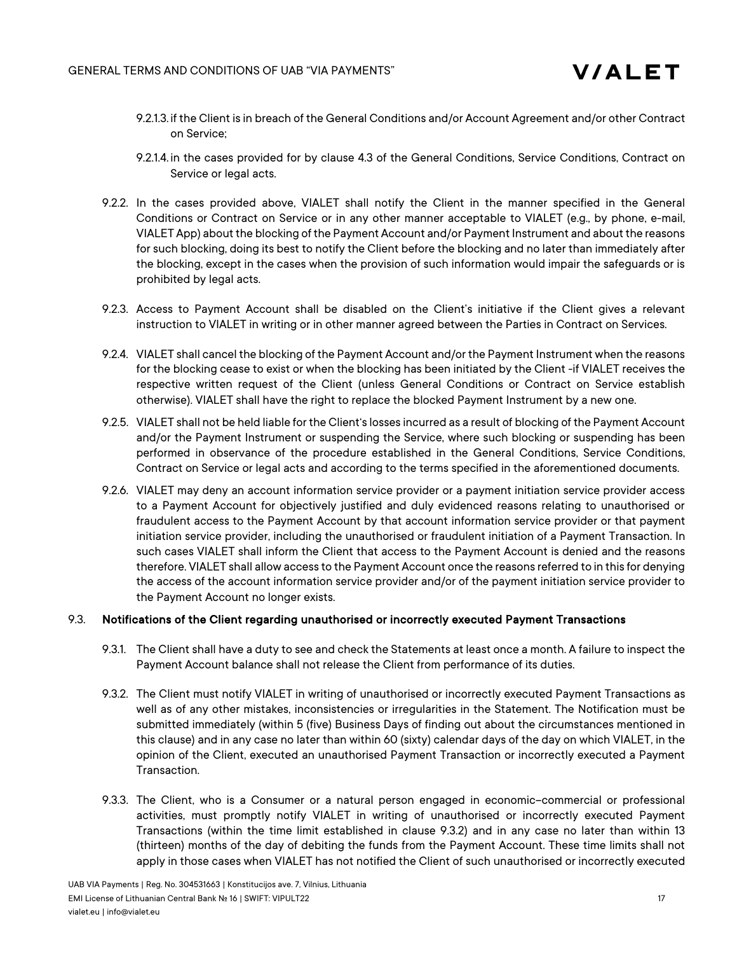- 9.2.1.3. if the Client is in breach of the General Conditions and/or Account Agreement and/or other Contract on Service;
- 9.2.1.4. in the cases provided for by clause 4.3 of the General Conditions, Service Conditions, Contract on Service or legal acts.
- 9.2.2. In the cases provided above, VIALET shall notify the Client in the manner specified in the General Conditions or Contract on Service or in any other manner acceptable to VIALET (e.g., by phone, e-mail, VIALET App) about the blocking of the Payment Account and/or Payment Instrument and about the reasons for such blocking, doing its best to notify the Client before the blocking and no later than immediately after the blocking, except in the cases when the provision of such information would impair the safeguards or is prohibited by legal acts.
- 9.2.3. Access to Payment Account shall be disabled on the Client's initiative if the Client gives a relevant instruction to VIALET in writing or in other manner agreed between the Parties in Contract on Services.
- 9.2.4. VIALET shall cancel the blocking of the Payment Account and/or the Payment Instrument when the reasons for the blocking cease to exist or when the blocking has been initiated by the Client -if VIALET receives the respective written request of the Client (unless General Conditions or Contract on Service establish otherwise). VIALET shall have the right to replace the blocked Payment Instrument by a new one.
- 9.2.5. VIALET shall not be held liable for the Client's losses incurred as a result of blocking of the Payment Account and/or the Payment Instrument or suspending the Service, where such blocking or suspending has been performed in observance of the procedure established in the General Conditions, Service Conditions, Contract on Service or legal acts and according to the terms specified in the aforementioned documents.
- 9.2.6. VIALET may deny an account information service provider or a payment initiation service provider access to a Payment Account for objectively justified and duly evidenced reasons relating to unauthorised or fraudulent access to the Payment Account by that account information service provider or that payment initiation service provider, including the unauthorised or fraudulent initiation of a Payment Transaction. In such cases VIALET shall inform the Client that access to the Payment Account is denied and the reasons therefore. VIALET shall allow access to the Payment Account once the reasons referred to in this for denying the access of the account information service provider and/or of the payment initiation service provider to the Payment Account no longer exists.

#### 9.3. Notifications of the Client regarding unauthorised or incorrectly executed Payment Transactions

- 9.3.1. The Client shall have a duty to see and check the Statements at least once a month. A failure to inspect the Payment Account balance shall not release the Client from performance of its duties.
- 9.3.2. The Client must notify VIALET in writing of unauthorised or incorrectly executed Payment Transactions as well as of any other mistakes, inconsistencies or irregularities in the Statement. The Notification must be submitted immediately (within 5 (five) Business Days of finding out about the circumstances mentioned in this clause) and in any case no later than within 60 (sixty) calendar days of the day on which VIALET, in the opinion of the Client, executed an unauthorised Payment Transaction or incorrectly executed a Payment Transaction.
- 9.3.3. The Client, who is a Consumer or a natural person engaged in economic–commercial or professional activities, must promptly notify VIALET in writing of unauthorised or incorrectly executed Payment Transactions (within the time limit established in clause 9.3.2) and in any case no later than within 13 (thirteen) months of the day of debiting the funds from the Payment Account. These time limits shall not apply in those cases when VIALET has not notified the Client of such unauthorised or incorrectly executed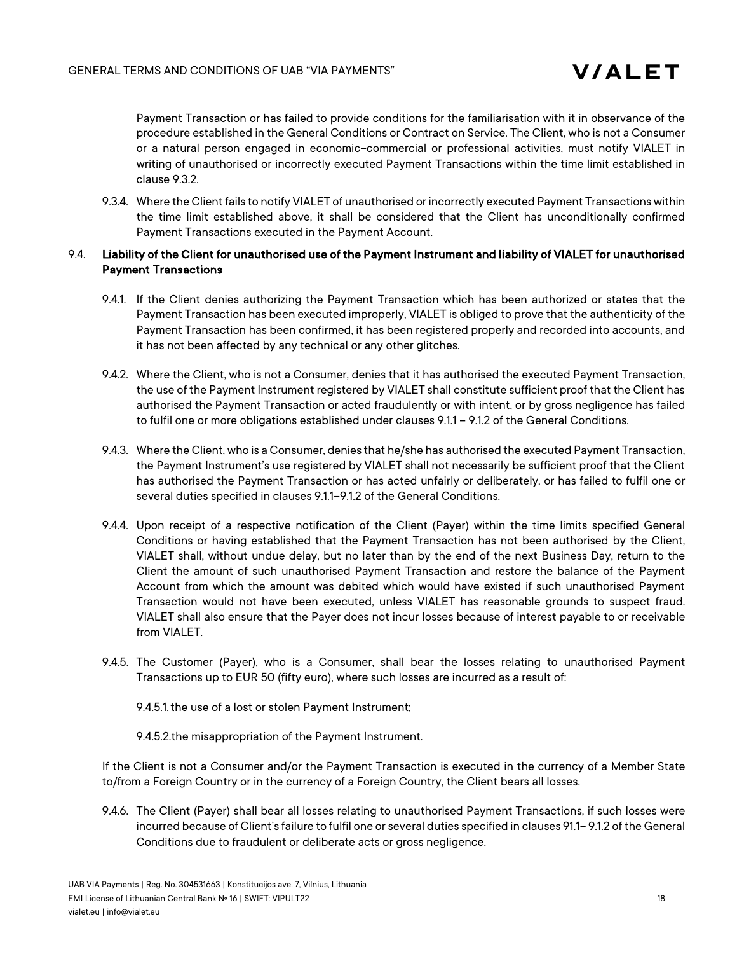Payment Transaction or has failed to provide conditions for the familiarisation with it in observance of the procedure established in the General Conditions or Contract on Service. The Client, who is not a Consumer or a natural person engaged in economic–commercial or professional activities, must notify VIALET in writing of unauthorised or incorrectly executed Payment Transactions within the time limit established in clause 9.3.2.

9.3.4. Where the Client fails to notify VIALET of unauthorised or incorrectly executed Payment Transactions within the time limit established above, it shall be considered that the Client has unconditionally confirmed Payment Transactions executed in the Payment Account.

### 9.4. Liability of the Client for unauthorised use of the Payment Instrument and liability of VIALET for unauthorised Payment Transactions

- 9.4.1. If the Client denies authorizing the Payment Transaction which has been authorized or states that the Payment Transaction has been executed improperly, VIALET is obliged to prove that the authenticity of the Payment Transaction has been confirmed, it has been registered properly and recorded into accounts, and it has not been affected by any technical or any other glitches.
- 9.4.2. Where the Client, who is not a Consumer, denies that it has authorised the executed Payment Transaction, the use of the Payment Instrument registered by VIALET shall constitute sufficient proof that the Client has authorised the Payment Transaction or acted fraudulently or with intent, or by gross negligence has failed to fulfil one or more obligations established under clauses 9.1.1 – 9.1.2 of the General Conditions.
- 9.4.3. Where the Client, who is a Consumer, denies that he/she has authorised the executed Payment Transaction, the Payment Instrument's use registered by VIALET shall not necessarily be sufficient proof that the Client has authorised the Payment Transaction or has acted unfairly or deliberately, or has failed to fulfil one or several duties specified in clauses 9.1.1–9.1.2 of the General Conditions.
- 9.4.4. Upon receipt of a respective notification of the Client (Payer) within the time limits specified General Conditions or having established that the Payment Transaction has not been authorised by the Client, VIALET shall, without undue delay, but no later than by the end of the next Business Day, return to the Client the amount of such unauthorised Payment Transaction and restore the balance of the Payment Account from which the amount was debited which would have existed if such unauthorised Payment Transaction would not have been executed, unless VIALET has reasonable grounds to suspect fraud. VIALET shall also ensure that the Payer does not incur losses because of interest payable to or receivable from VIALET.
- 9.4.5. The Customer (Payer), who is a Consumer, shall bear the losses relating to unauthorised Payment Transactions up to EUR 50 (fifty euro), where such losses are incurred as a result of:
	- 9.4.5.1.the use of a lost or stolen Payment Instrument;

9.4.5.2.the misappropriation of the Payment Instrument.

If the Client is not a Consumer and/or the Payment Transaction is executed in the currency of a Member State to/from a Foreign Country or in the currency of a Foreign Country, the Client bears all losses.

9.4.6. The Client (Payer) shall bear all losses relating to unauthorised Payment Transactions, if such losses were incurred because of Client's failure to fulfil one or several duties specified in clauses 91.1– 9.1.2 of the General Conditions due to fraudulent or deliberate acts or gross negligence.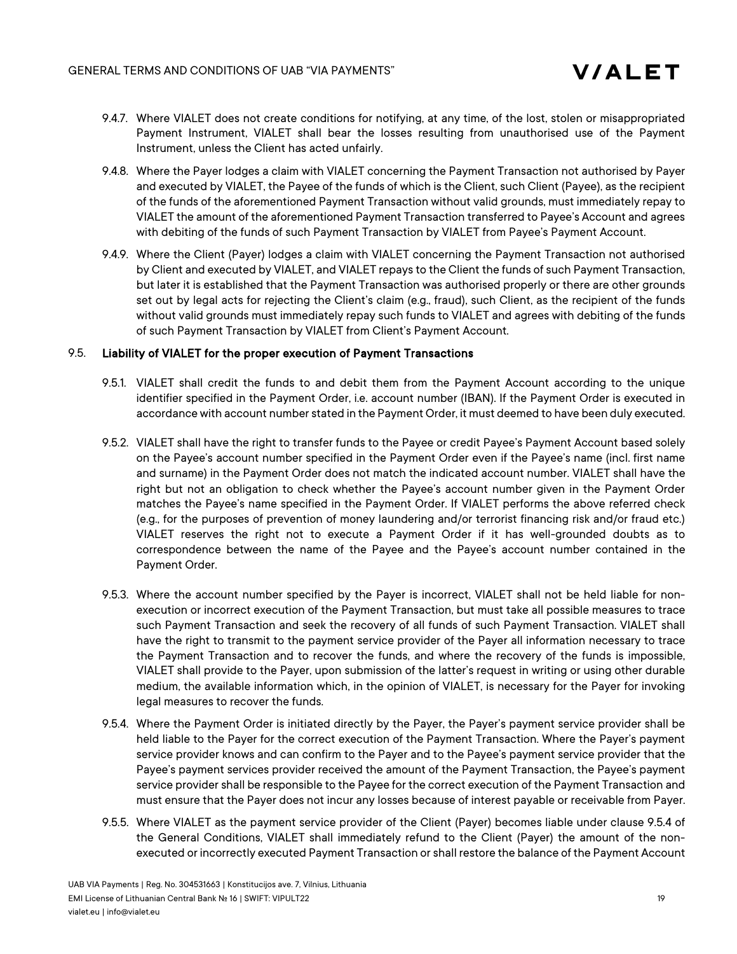- 9.4.7. Where VIALET does not create conditions for notifying, at any time, of the lost, stolen or misappropriated Payment Instrument, VIALET shall bear the losses resulting from unauthorised use of the Payment Instrument, unless the Client has acted unfairly.
- 9.4.8. Where the Payer lodges a claim with VIALET concerning the Payment Transaction not authorised by Payer and executed by VIALET, the Payee of the funds of which is the Client, such Client (Payee), as the recipient of the funds of the aforementioned Payment Transaction without valid grounds, must immediately repay to VIALET the amount of the aforementioned Payment Transaction transferred to Payee's Account and agrees with debiting of the funds of such Payment Transaction by VIALET from Payee's Payment Account.
- 9.4.9. Where the Client (Payer) lodges a claim with VIALET concerning the Payment Transaction not authorised by Client and executed by VIALET, and VIALET repays to the Client the funds of such Payment Transaction, but later it is established that the Payment Transaction was authorised properly or there are other grounds set out by legal acts for rejecting the Client's claim (e.g., fraud), such Client, as the recipient of the funds without valid grounds must immediately repay such funds to VIALET and agrees with debiting of the funds of such Payment Transaction by VIALET from Client's Payment Account.

### 9.5. Liability of VIALET for the proper execution of Payment Transactions

- 9.5.1. VIALET shall credit the funds to and debit them from the Payment Account according to the unique identifier specified in the Payment Order, i.e. account number (IBAN). If the Payment Order is executed in accordance with account number stated in the Payment Order, it must deemed to have been duly executed.
- 9.5.2. VIALET shall have the right to transfer funds to the Payee or credit Payee's Payment Account based solely on the Payee's account number specified in the Payment Order even if the Payee's name (incl. first name and surname) in the Payment Order does not match the indicated account number. VIALET shall have the right but not an obligation to check whether the Payee's account number given in the Payment Order matches the Payee's name specified in the Payment Order. If VIALET performs the above referred check (e.g., for the purposes of prevention of money laundering and/or terrorist financing risk and/or fraud etc.) VIALET reserves the right not to execute a Payment Order if it has well-grounded doubts as to correspondence between the name of the Payee and the Payee's account number contained in the Payment Order.
- 9.5.3. Where the account number specified by the Payer is incorrect, VIALET shall not be held liable for nonexecution or incorrect execution of the Payment Transaction, but must take all possible measures to trace such Payment Transaction and seek the recovery of all funds of such Payment Transaction. VIALET shall have the right to transmit to the payment service provider of the Payer all information necessary to trace the Payment Transaction and to recover the funds, and where the recovery of the funds is impossible, VIALET shall provide to the Payer, upon submission of the latter's request in writing or using other durable medium, the available information which, in the opinion of VIALET, is necessary for the Payer for invoking legal measures to recover the funds.
- 9.5.4. Where the Payment Order is initiated directly by the Payer, the Payer's payment service provider shall be held liable to the Payer for the correct execution of the Payment Transaction. Where the Payer's payment service provider knows and can confirm to the Payer and to the Payee's payment service provider that the Payee's payment services provider received the amount of the Payment Transaction, the Payee's payment service provider shall be responsible to the Payee for the correct execution of the Payment Transaction and must ensure that the Payer does not incur any losses because of interest payable or receivable from Payer.
- 9.5.5. Where VIALET as the payment service provider of the Client (Payer) becomes liable under clause 9.5.4 of the General Conditions, VIALET shall immediately refund to the Client (Payer) the amount of the nonexecuted or incorrectly executed Payment Transaction or shall restore the balance of the Payment Account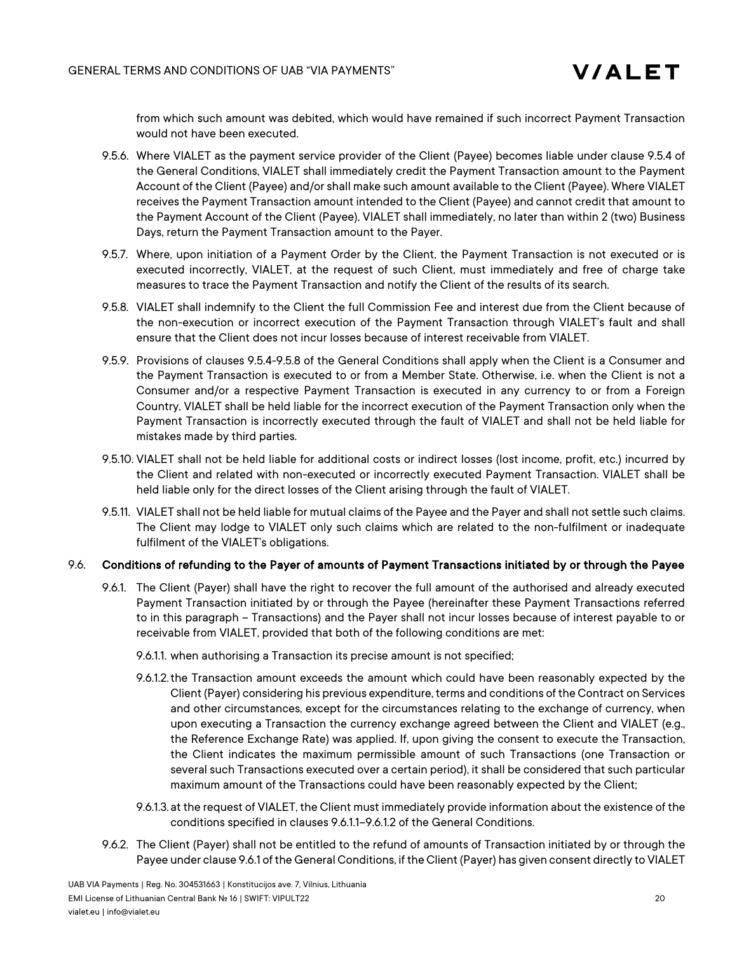from which such amount was debited, which would have remained if such incorrect Payment Transaction would not have been executed.

- 9.5.6. Where VIALET as the payment service provider of the Client (Payee) becomes liable under clause 9.5.4 of the General Conditions, VIALET shall immediately credit the Payment Transaction amount to the Payment Account of the Client (Payee) and/or shall make such amount available to the Client (Payee). Where VIALET receives the Payment Transaction amount intended to the Client (Payee) and cannot credit that amount to the Payment Account of the Client (Payee), VIALET shall immediately, no later than within 2 (two) Business Days, return the Payment Transaction amount to the Payer.
- 9.5.7. Where, upon initiation of a Payment Order by the Client, the Payment Transaction is not executed or is executed incorrectly, VIALET, at the request of such Client, must immediately and free of charge take measures to trace the Payment Transaction and notify the Client of the results of its search.
- 9.5.8. VIALET shall indemnify to the Client the full Commission Fee and interest due from the Client because of the non-execution or incorrect execution of the Payment Transaction through VIALET's fault and shall ensure that the Client does not incur losses because of interest receivable from VIALET.
- 9.5.9. Provisions of clauses 9.5.4-9.5.8 of the General Conditions shall apply when the Client is a Consumer and the Payment Transaction is executed to or from a Member State. Otherwise, i.e. when the Client is not a Consumer and/or a respective Payment Transaction is executed in any currency to or from a Foreign Country, VIALET shall be held liable for the incorrect execution of the Payment Transaction only when the Payment Transaction is incorrectly executed through the fault of VIALET and shall not be held liable for mistakes made by third parties.
- 9.5.10. VIALET shall not be held liable for additional costs or indirect losses (lost income, profit, etc.) incurred by the Client and related with non-executed or incorrectly executed Payment Transaction. VIALET shall be held liable only for the direct losses of the Client arising through the fault of VIALET.
- 9.5.11. VIALET shall not be held liable for mutual claims of the Payee and the Payer and shall not settle such claims. The Client may lodge to VIALET only such claims which are related to the non-fulfilment or inadequate fulfilment of the VIALET's obligations.

#### 9.6. Conditions of refunding to the Payer of amounts of Payment Transactions initiated by or through the Payee

- 9.6.1. The Client (Payer) shall have the right to recover the full amount of the authorised and already executed Payment Transaction initiated by or through the Payee (hereinafter these Payment Transactions referred to in this paragraph – Transactions) and the Payer shall not incur losses because of interest payable to or receivable from VIALET, provided that both of the following conditions are met:
	- 9.6.1.1. when authorising a Transaction its precise amount is not specified;
	- 9.6.1.2.the Transaction amount exceeds the amount which could have been reasonably expected by the Client (Payer) considering his previous expenditure, terms and conditions of the Contract on Services and other circumstances, except for the circumstances relating to the exchange of currency, when upon executing a Transaction the currency exchange agreed between the Client and VIALET (e.g., the Reference Exchange Rate) was applied. If, upon giving the consent to execute the Transaction, the Client indicates the maximum permissible amount of such Transactions (one Transaction or several such Transactions executed over a certain period), it shall be considered that such particular maximum amount of the Transactions could have been reasonably expected by the Client;
	- 9.6.1.3.at the request of VIALET, the Client must immediately provide information about the existence of the conditions specified in clauses 9.6.1.1–9.6.1.2 of the General Conditions.
- 9.6.2. The Client (Payer) shall not be entitled to the refund of amounts of Transaction initiated by or through the Payee under clause 9.6.1 of the General Conditions, if the Client (Payer) has given consent directly to VIALET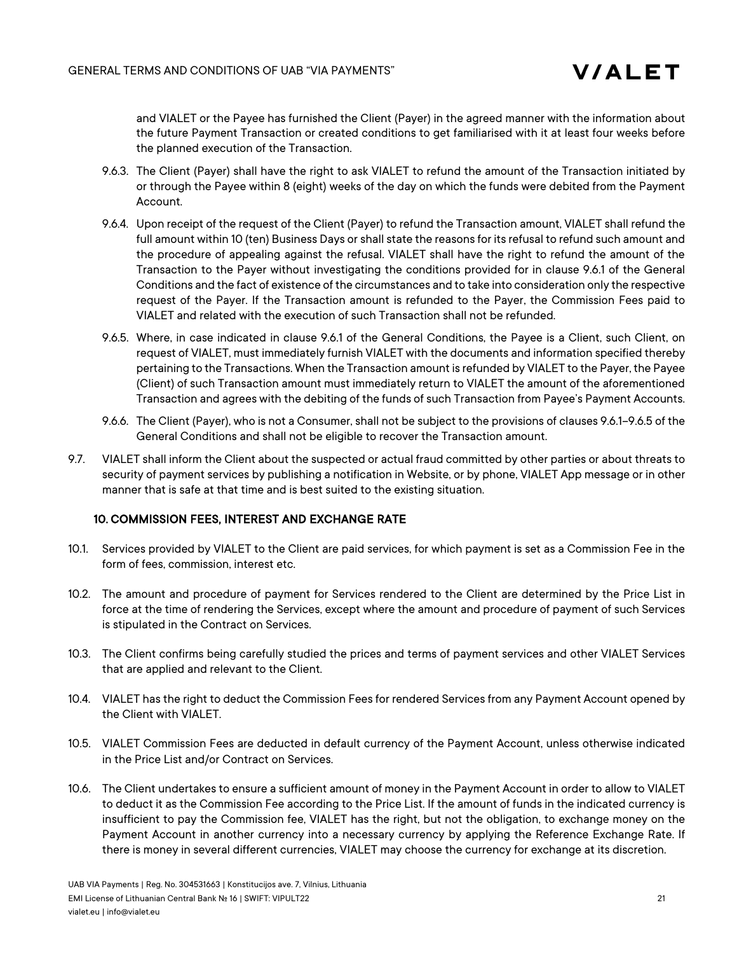and VIALET or the Payee has furnished the Client (Payer) in the agreed manner with the information about the future Payment Transaction or created conditions to get familiarised with it at least four weeks before the planned execution of the Transaction.

- 9.6.3. The Client (Payer) shall have the right to ask VIALET to refund the amount of the Transaction initiated by or through the Payee within 8 (eight) weeks of the day on which the funds were debited from the Payment Account.
- 9.6.4. Upon receipt of the request of the Client (Payer) to refund the Transaction amount, VIALET shall refund the full amount within 10 (ten) Business Days or shall state the reasons for its refusal to refund such amount and the procedure of appealing against the refusal. VIALET shall have the right to refund the amount of the Transaction to the Payer without investigating the conditions provided for in clause 9.6.1 of the General Conditions and the fact of existence of the circumstances and to take into consideration only the respective request of the Payer. If the Transaction amount is refunded to the Payer, the Commission Fees paid to VIALET and related with the execution of such Transaction shall not be refunded.
- 9.6.5. Where, in case indicated in clause 9.6.1 of the General Conditions, the Payee is a Client, such Client, on request of VIALET, must immediately furnish VIALET with the documents and information specified thereby pertaining to the Transactions. When the Transaction amount is refunded by VIALET to the Payer, the Payee (Client) of such Transaction amount must immediately return to VIALET the amount of the aforementioned Transaction and agrees with the debiting of the funds of such Transaction from Payee's Payment Accounts.
- 9.6.6. The Client (Payer), who is not a Consumer, shall not be subject to the provisions of clauses 9.6.1–9.6.5 of the General Conditions and shall not be eligible to recover the Transaction amount.
- 9.7. VIALET shall inform the Client about the suspected or actual fraud committed by other parties or about threats to security of payment services by publishing a notification in Website, or by phone, VIALET App message or in other manner that is safe at that time and is best suited to the existing situation.

# 10. COMMISSION FEES, INTEREST AND EXCHANGE RATE

- 10.1. Services provided by VIALET to the Client are paid services, for which payment is set as a Commission Fee in the form of fees, commission, interest etc.
- 10.2. The amount and procedure of payment for Services rendered to the Client are determined by the Price List in force at the time of rendering the Services, except where the amount and procedure of payment of such Services is stipulated in the Contract on Services.
- 10.3. The Client confirms being carefully studied the prices and terms of payment services and other VIALET Services that are applied and relevant to the Client.
- 10.4. VIALET has the right to deduct the Commission Feesfor rendered Services from any Payment Account opened by the Client with VIALET.
- 10.5. VIALET Commission Fees are deducted in default currency of the Payment Account, unless otherwise indicated in the Price List and/or Contract on Services.
- 10.6. The Client undertakes to ensure a sufficient amount of money in the Payment Account in order to allow to VIALET to deduct it as the Commission Fee according to the Price List. If the amount of funds in the indicated currency is insufficient to pay the Commission fee, VIALET has the right, but not the obligation, to exchange money on the Payment Account in another currency into a necessary currency by applying the Reference Exchange Rate. If there is money in several different currencies, VIALET may choose the currency for exchange at its discretion.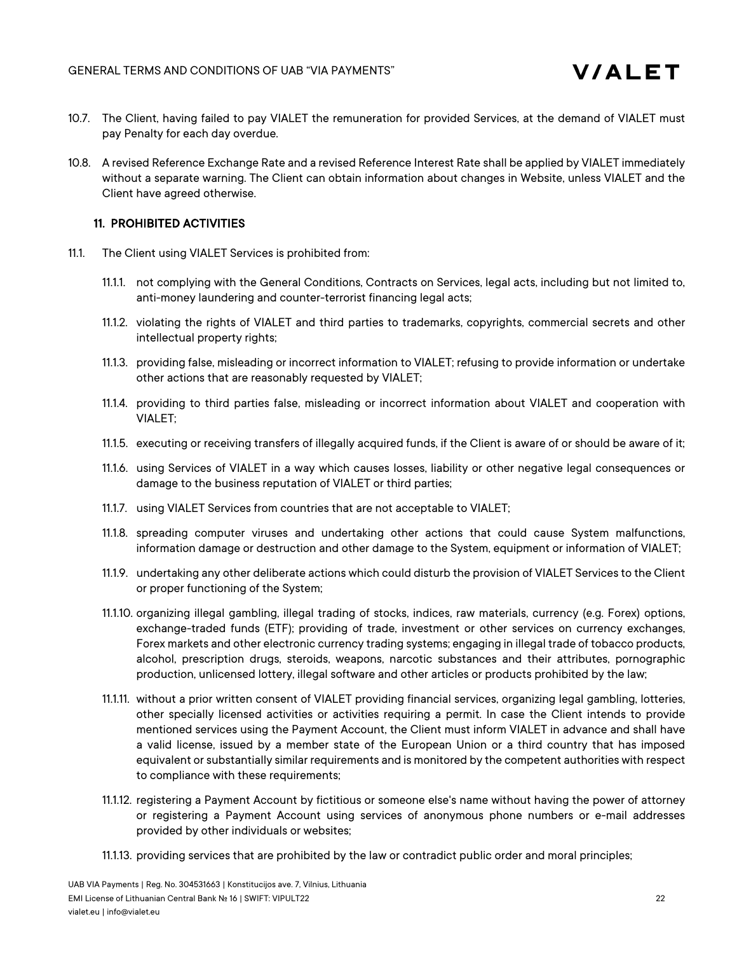- 10.7. The Client, having failed to pay VIALET the remuneration for provided Services, at the demand of VIALET must pay Penalty for each day overdue.
- 10.8. A revised Reference Exchange Rate and a revised Reference Interest Rate shall be applied by VIALET immediately without a separate warning. The Client can obtain information about changes in Website, unless VIALET and the Client have agreed otherwise.

### 11. PROHIBITED ACTIVITIES

- 11.1. The Client using VIALET Services is prohibited from:
	- 11.1.1. not complying with the General Conditions, Contracts on Services, legal acts, including but not limited to, anti-money laundering and counter-terrorist financing legal acts;
	- 11.1.2. violating the rights of VIALET and third parties to trademarks, copyrights, commercial secrets and other intellectual property rights;
	- 11.1.3. providing false, misleading or incorrect information to VIALET; refusing to provide information or undertake other actions that are reasonably requested by VIALET;
	- 11.1.4. providing to third parties false, misleading or incorrect information about VIALET and cooperation with VIALET;
	- 11.1.5. executing or receiving transfers of illegally acquired funds, if the Client is aware of or should be aware of it;
	- 11.1.6. using Services of VIALET in a way which causes losses, liability or other negative legal consequences or damage to the business reputation of VIALET or third parties;
	- 11.1.7. using VIALET Services from countries that are not acceptable to VIALET;
	- 11.1.8. spreading computer viruses and undertaking other actions that could cause System malfunctions, information damage or destruction and other damage to the System, equipment or information of VIALET;
	- 11.1.9. undertaking any other deliberate actions which could disturb the provision of VIALET Services to the Client or proper functioning of the System;
	- 11.1.10. organizing illegal gambling, illegal trading of stocks, indices, raw materials, currency (e.g. Forex) options, exchange-traded funds (ETF); providing of trade, investment or other services on currency exchanges, Forex markets and other electronic currency trading systems; engaging in illegal trade of tobacco products, alcohol, prescription drugs, steroids, weapons, narcotic substances and their attributes, pornographic production, unlicensed lottery, illegal software and other articles or products prohibited by the law;
	- 11.1.11. without a prior written consent of VIALET providing financial services, organizing legal gambling, lotteries, other specially licensed activities or activities requiring a permit. In case the Client intends to provide mentioned services using the Payment Account, the Client must inform VIALET in advance and shall have a valid license, issued by a member state of the European Union or a third country that has imposed equivalent or substantially similar requirements and is monitored by the competent authorities with respect to compliance with these requirements;
	- 11.1.12. registering a Payment Account by fictitious or someone else's name without having the power of attorney or registering a Payment Account using services of anonymous phone numbers or e-mail addresses provided by other individuals or websites;
	- 11.1.13. providing services that are prohibited by the law or contradict public order and moral principles;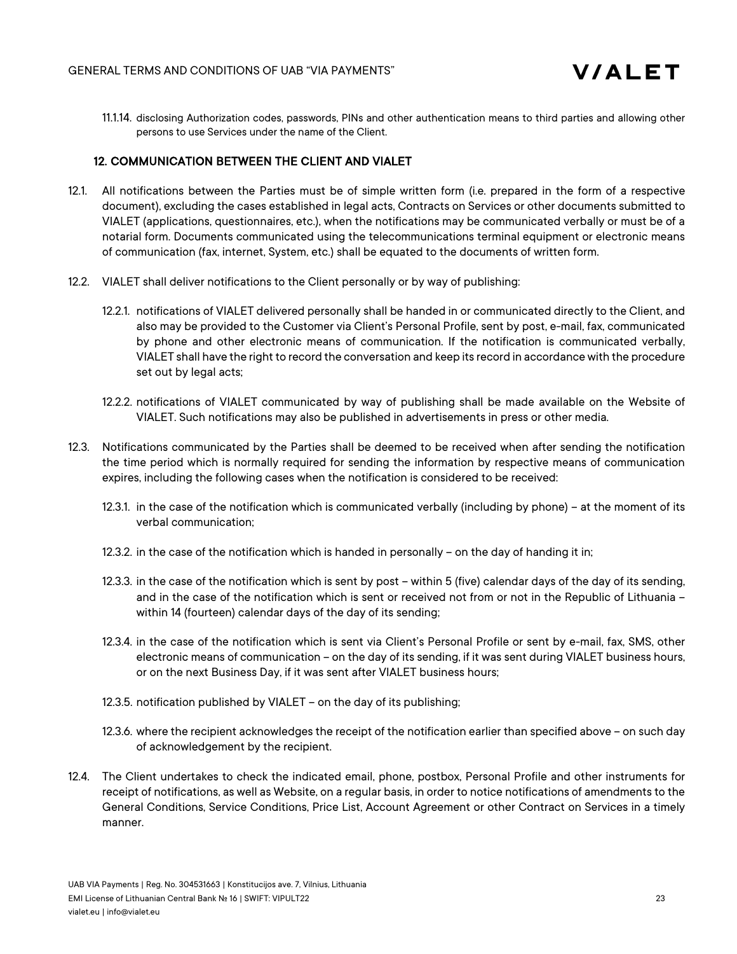

11.1.14. disclosing Authorization codes, passwords, PINs and other authentication means to third parties and allowing other persons to use Services under the name of the Client.

# 12. COMMUNICATION BETWEEN THE CLIENT AND VIALET

- 12.1. All notifications between the Parties must be of simple written form (i.e. prepared in the form of a respective document), excluding the cases established in legal acts, Contracts on Services or other documents submitted to VIALET (applications, questionnaires, etc.), when the notifications may be communicated verbally or must be of a notarial form. Documents communicated using the telecommunications terminal equipment or electronic means of communication (fax, internet, System, etc.) shall be equated to the documents of written form.
- 12.2. VIALET shall deliver notifications to the Client personally or by way of publishing:
	- 12.2.1. notifications of VIALET delivered personally shall be handed in or communicated directly to the Client, and also may be provided to the Customer via Client's Personal Profile, sent by post, e-mail, fax, communicated by phone and other electronic means of communication. If the notification is communicated verbally, VIALET shall have the right to record the conversation and keep its record in accordance with the procedure set out by legal acts;
	- 12.2.2. notifications of VIALET communicated by way of publishing shall be made available on the Website of VIALET. Such notifications may also be published in advertisements in press or other media.
- 12.3. Notifications communicated by the Parties shall be deemed to be received when after sending the notification the time period which is normally required for sending the information by respective means of communication expires, including the following cases when the notification is considered to be received:
	- 12.3.1. in the case of the notification which is communicated verbally (including by phone) at the moment of its verbal communication;
	- 12.3.2. in the case of the notification which is handed in personally on the day of handing it in;
	- 12.3.3. in the case of the notification which is sent by post within 5 (five) calendar days of the day of its sending, and in the case of the notification which is sent or received not from or not in the Republic of Lithuania – within 14 (fourteen) calendar days of the day of its sending;
	- 12.3.4. in the case of the notification which is sent via Client's Personal Profile or sent by e-mail, fax, SMS, other electronic means of communication – on the day of its sending, if it was sent during VIALET business hours, or on the next Business Day, if it was sent after VIALET business hours;
	- 12.3.5. notification published by VIALET on the day of its publishing;
	- 12.3.6. where the recipient acknowledges the receipt of the notification earlier than specified above on such day of acknowledgement by the recipient.
- 12.4. The Client undertakes to check the indicated email, phone, postbox, Personal Profile and other instruments for receipt of notifications, as well as Website, on a regular basis, in order to notice notifications of amendments to the General Conditions, Service Conditions, Price List, Account Agreement or other Contract on Services in a timely manner.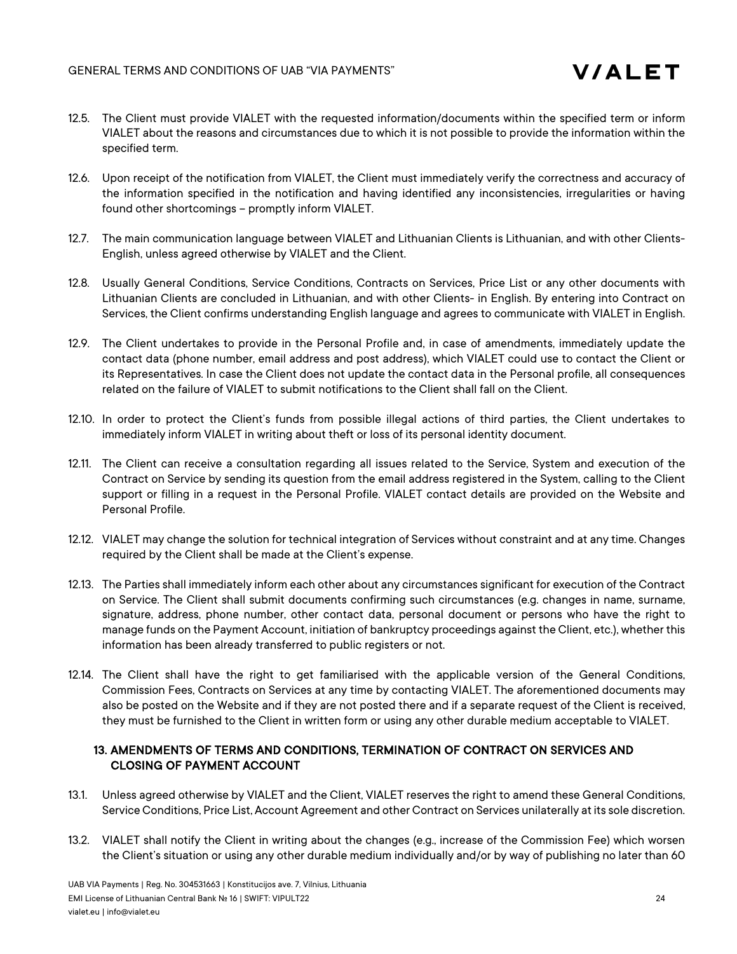

- 12.5. The Client must provide VIALET with the requested information/documents within the specified term or inform VIALET about the reasons and circumstances due to which it is not possible to provide the information within the specified term.
- 12.6. Upon receipt of the notification from VIALET, the Client must immediately verify the correctness and accuracy of the information specified in the notification and having identified any inconsistencies, irregularities or having found other shortcomings – promptly inform VIALET.
- 12.7. The main communication language between VIALET and Lithuanian Clients is Lithuanian, and with other Clients-English, unless agreed otherwise by VIALET and the Client.
- 12.8. Usually General Conditions, Service Conditions, Contracts on Services, Price List or any other documents with Lithuanian Clients are concluded in Lithuanian, and with other Clients- in English. By entering into Contract on Services, the Client confirms understanding English language and agrees to communicate with VIALET in English.
- 12.9. The Client undertakes to provide in the Personal Profile and, in case of amendments, immediately update the contact data (phone number, email address and post address), which VIALET could use to contact the Client or its Representatives. In case the Client does not update the contact data in the Personal profile, all consequences related on the failure of VIALET to submit notifications to the Client shall fall on the Client.
- 12.10. In order to protect the Client's funds from possible illegal actions of third parties, the Client undertakes to immediately inform VIALET in writing about theft or loss of its personal identity document.
- 12.11. The Client can receive a consultation regarding all issues related to the Service, System and execution of the Contract on Service by sending its question from the email address registered in the System, calling to the Client support or filling in a request in the Personal Profile. VIALET contact details are provided on the Website and Personal Profile.
- 12.12. VIALET may change the solution for technical integration of Services without constraint and at any time. Changes required by the Client shall be made at the Client's expense.
- 12.13. The Parties shall immediately inform each other about any circumstances significant for execution of the Contract on Service. The Client shall submit documents confirming such circumstances (e.g. changes in name, surname, signature, address, phone number, other contact data, personal document or persons who have the right to manage funds on the Payment Account, initiation of bankruptcy proceedings against the Client, etc.), whether this information has been already transferred to public registers or not.
- 12.14. The Client shall have the right to get familiarised with the applicable version of the General Conditions, Commission Fees, Contracts on Services at any time by contacting VIALET. The aforementioned documents may also be posted on the Website and if they are not posted there and if a separate request of the Client is received, they must be furnished to the Client in written form or using any other durable medium acceptable to VIALET.

# 13. AMENDMENTS OF TERMS AND CONDITIONS, TERMINATION OF CONTRACT ON SERVICES AND CLOSING OF PAYMENT ACCOUNT

- 13.1. Unless agreed otherwise by VIALET and the Client, VIALET reserves the right to amend these General Conditions, Service Conditions, Price List, Account Agreement and other Contract on Services unilaterally at its sole discretion.
- 13.2. VIALET shall notify the Client in writing about the changes (e.g., increase of the Commission Fee) which worsen the Client's situation or using any other durable medium individually and/or by way of publishing no later than 60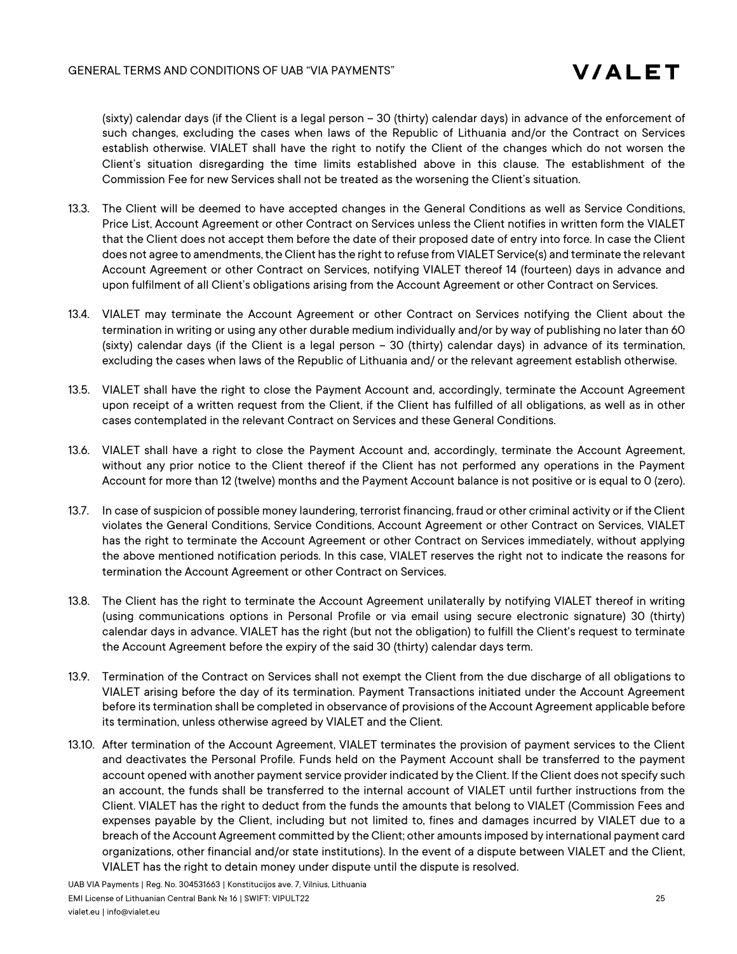(sixty) calendar days (if the Client is a legal person – 30 (thirty) calendar days) in advance of the enforcement of such changes, excluding the cases when laws of the Republic of Lithuania and/or the Contract on Services establish otherwise. VIALET shall have the right to notify the Client of the changes which do not worsen the Client's situation disregarding the time limits established above in this clause. The establishment of the Commission Fee for new Services shall not be treated as the worsening the Client's situation.

- 13.3. The Client will be deemed to have accepted changes in the General Conditions as well as Service Conditions, Price List, Account Agreement or other Contract on Services unless the Client notifies in written form the VIALET that the Client does not accept them before the date of their proposed date of entry into force. In case the Client does not agree to amendments, the Client has the right to refuse from VIALET Service(s) and terminate the relevant Account Agreement or other Contract on Services, notifying VIALET thereof 14 (fourteen) days in advance and upon fulfilment of all Client's obligations arising from the Account Agreement or other Contract on Services.
- 13.4. VIALET may terminate the Account Agreement or other Contract on Services notifying the Client about the termination in writing or using any other durable medium individually and/or by way of publishing no later than 60 (sixty) calendar days (if the Client is a legal person – 30 (thirty) calendar days) in advance of its termination, excluding the cases when laws of the Republic of Lithuania and/ or the relevant agreement establish otherwise.
- 13.5. VIALET shall have the right to close the Payment Account and, accordingly, terminate the Account Agreement upon receipt of a written request from the Client, if the Client has fulfilled of all obligations, as well as in other cases contemplated in the relevant Contract on Services and these General Conditions.
- 13.6. VIALET shall have a right to close the Payment Account and, accordingly, terminate the Account Agreement, without any prior notice to the Client thereof if the Client has not performed any operations in the Payment Account for more than 12 (twelve) months and the Payment Account balance is not positive or is equal to 0 (zero).
- 13.7. In case of suspicion of possible money laundering, terrorist financing, fraud or other criminal activity or if the Client violates the General Conditions, Service Conditions, Account Agreement or other Contract on Services, VIALET has the right to terminate the Account Agreement or other Contract on Services immediately, without applying the above mentioned notification periods. In this case, VIALET reserves the right not to indicate the reasons for termination the Account Agreement or other Contract on Services.
- 13.8. The Client has the right to terminate the Account Agreement unilaterally by notifying VIALET thereof in writing (using communications options in Personal Profile or via email using secure electronic signature) 30 (thirty) calendar days in advance. VIALET has the right (but not the obligation) to fulfill the Client's request to terminate the Account Agreement before the expiry of the said 30 (thirty) calendar days term.
- 13.9. Termination of the Contract on Services shall not exempt the Client from the due discharge of all obligations to VIALET arising before the day of its termination. Payment Transactions initiated under the Account Agreement before its termination shall be completed in observance of provisions of the Account Agreement applicable before its termination, unless otherwise agreed by VIALET and the Client.
- 13.10. After termination of the Account Agreement, VIALET terminates the provision of payment services to the Client and deactivates the Personal Profile. Funds held on the Payment Account shall be transferred to the payment account opened with another payment service provider indicated by the Client. If the Client does not specify such an account, the funds shall be transferred to the internal account of VIALET until further instructions from the Client. VIALET has the right to deduct from the funds the amounts that belong to VIALET (Commission Fees and expenses payable by the Client, including but not limited to, fines and damages incurred by VIALET due to a breach of the Account Agreement committed by the Client; other amounts imposed by international payment card organizations, other financial and/or state institutions). In the event of a dispute between VIALET and the Client, VIALET has the right to detain money under dispute until the dispute is resolved.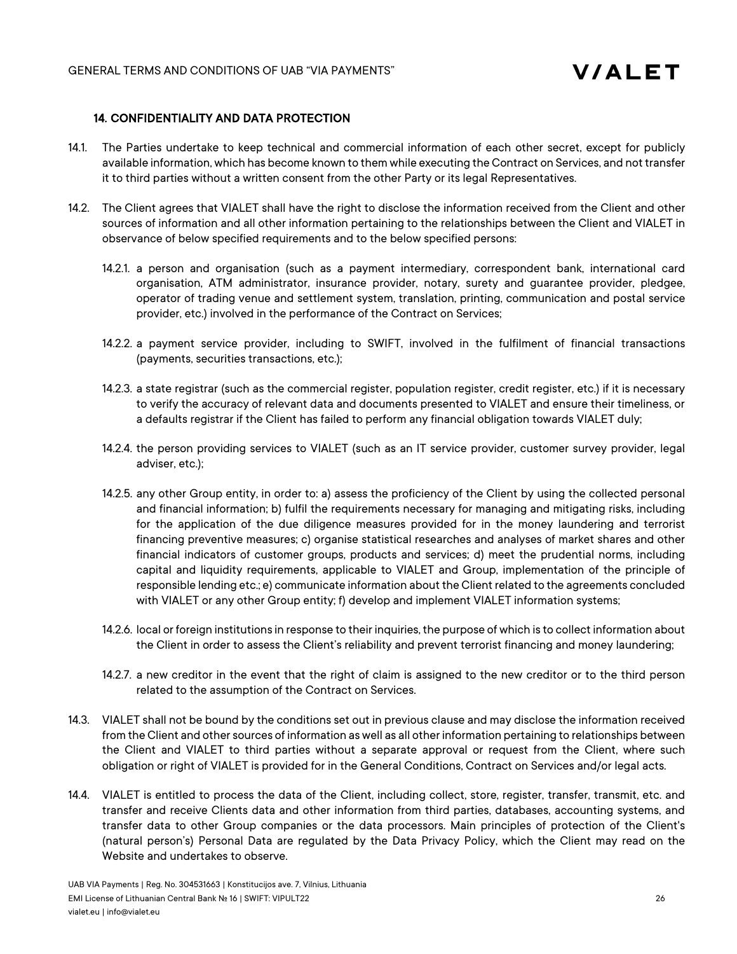# 14. CONFIDENTIALITY AND DATA PROTECTION

- 14.1. The Parties undertake to keep technical and commercial information of each other secret, except for publicly available information, which has become known to them while executing the Contract on Services, and not transfer it to third parties without a written consent from the other Party or its legal Representatives.
- 14.2. The Client agrees that VIALET shall have the right to disclose the information received from the Client and other sources of information and all other information pertaining to the relationships between the Client and VIALET in observance of below specified requirements and to the below specified persons:
	- 14.2.1. a person and organisation (such as a payment intermediary, correspondent bank, international card organisation, ATM administrator, insurance provider, notary, surety and guarantee provider, pledgee, operator of trading venue and settlement system, translation, printing, communication and postal service provider, etc.) involved in the performance of the Contract on Services;
	- 14.2.2. a payment service provider, including to SWIFT, involved in the fulfilment of financial transactions (payments, securities transactions, etc.);
	- 14.2.3. a state registrar (such as the commercial register, population register, credit register, etc.) if it is necessary to verify the accuracy of relevant data and documents presented to VIALET and ensure their timeliness, or a defaults registrar if the Client has failed to perform any financial obligation towards VIALET duly;
	- 14.2.4. the person providing services to VIALET (such as an IT service provider, customer survey provider, legal adviser, etc.);
	- 14.2.5. any other Group entity, in order to: a) assess the proficiency of the Client by using the collected personal and financial information; b) fulfil the requirements necessary for managing and mitigating risks, including for the application of the due diligence measures provided for in the money laundering and terrorist financing preventive measures; c) organise statistical researches and analyses of market shares and other financial indicators of customer groups, products and services; d) meet the prudential norms, including capital and liquidity requirements, applicable to VIALET and Group, implementation of the principle of responsible lending etc.; e) communicate information about the Client related to the agreements concluded with VIALET or any other Group entity; f) develop and implement VIALET information systems;
	- 14.2.6. local or foreign institutions in response to their inquiries, the purpose of which is to collect information about the Client in order to assess the Client's reliability and prevent terrorist financing and money laundering;
	- 14.2.7. a new creditor in the event that the right of claim is assigned to the new creditor or to the third person related to the assumption of the Contract on Services.
- 14.3. VIALET shall not be bound by the conditions set out in previous clause and may disclose the information received from the Client and other sources of information as well as all other information pertaining to relationships between the Client and VIALET to third parties without a separate approval or request from the Client, where such obligation or right of VIALET is provided for in the General Conditions, Contract on Services and/or legal acts.
- 14.4. VIALET is entitled to process the data of the Client, including collect, store, register, transfer, transmit, etc. and transfer and receive Clients data and other information from third parties, databases, accounting systems, and transfer data to other Group companies or the data processors. Main principles of protection of the Client's (natural person's) Personal Data are regulated by the Data Privacy Policy, which the Client may read on the Website and undertakes to observe.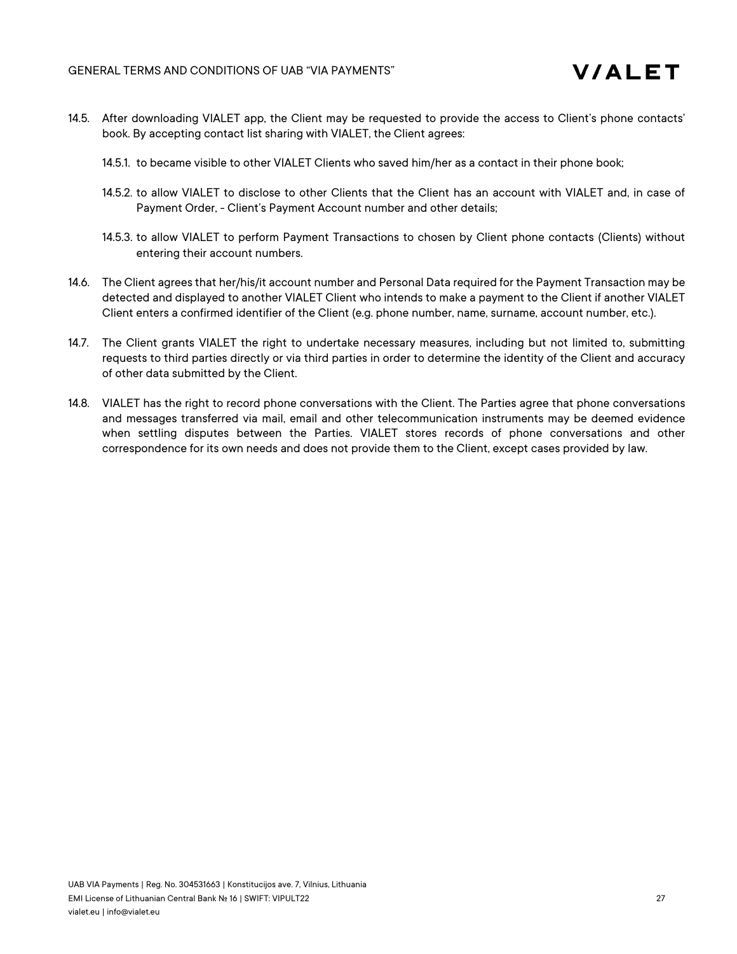

- 14.5. After downloading VIALET app, the Client may be requested to provide the access to Client's phone contacts' book. By accepting contact list sharing with VIALET, the Client agrees:
	- 14.5.1. to became visible to other VIALET Clients who saved him/her as a contact in their phone book;
	- 14.5.2. to allow VIALET to disclose to other Clients that the Client has an account with VIALET and, in case of Payment Order, - Client's Payment Account number and other details;
	- 14.5.3. to allow VIALET to perform Payment Transactions to chosen by Client phone contacts (Clients) without entering their account numbers.
- 14.6. The Client agrees that her/his/it account number and Personal Data required for the Payment Transaction may be detected and displayed to another VIALET Client who intends to make a payment to the Client if another VIALET Client enters a confirmed identifier of the Client (e.g. phone number, name, surname, account number, etc.).
- 14.7. The Client grants VIALET the right to undertake necessary measures, including but not limited to, submitting requests to third parties directly or via third parties in order to determine the identity of the Client and accuracy of other data submitted by the Client.
- 14.8. VIALET has the right to record phone conversations with the Client. The Parties agree that phone conversations and messages transferred via mail, email and other telecommunication instruments may be deemed evidence when settling disputes between the Parties. VIALET stores records of phone conversations and other correspondence for its own needs and does not provide them to the Client, except cases provided by law.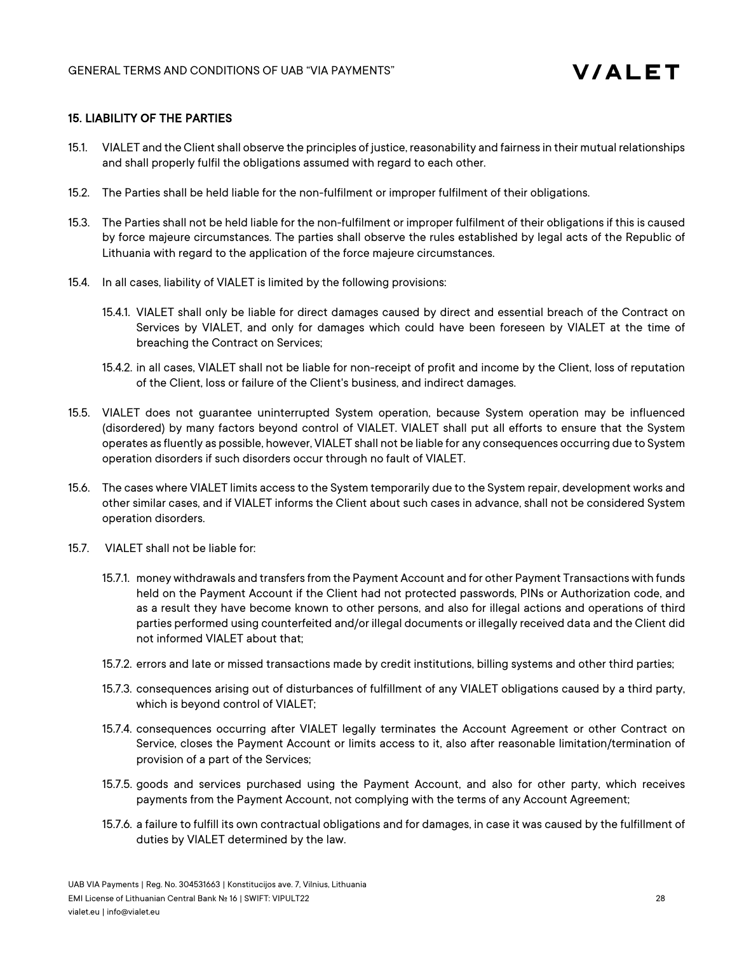### 15. LIABILITY OF THE PARTIES

- 15.1. VIALET and the Client shall observe the principles of justice, reasonability and fairness in their mutual relationships and shall properly fulfil the obligations assumed with regard to each other.
- 15.2. The Parties shall be held liable for the non-fulfilment or improper fulfilment of their obligations.
- 15.3. The Parties shall not be held liable for the non-fulfilment or improper fulfilment of their obligations if this is caused by force majeure circumstances. The parties shall observe the rules established by legal acts of the Republic of Lithuania with regard to the application of the force majeure circumstances.
- 15.4. In all cases, liability of VIALET is limited by the following provisions:
	- 15.4.1. VIALET shall only be liable for direct damages caused by direct and essential breach of the Contract on Services by VIALET, and only for damages which could have been foreseen by VIALET at the time of breaching the Contract on Services;
	- 15.4.2. in all cases, VIALET shall not be liable for non-receipt of profit and income by the Client, loss of reputation of the Client, loss or failure of the Client's business, and indirect damages.
- 15.5. VIALET does not guarantee uninterrupted System operation, because System operation may be influenced (disordered) by many factors beyond control of VIALET. VIALET shall put all efforts to ensure that the System operates as fluently as possible, however, VIALET shall not be liable for any consequences occurring due to System operation disorders if such disorders occur through no fault of VIALET.
- 15.6. The cases where VIALET limits access to the System temporarily due to the System repair, development works and other similar cases, and if VIALET informs the Client about such cases in advance, shall not be considered System operation disorders.
- 15.7. VIALET shall not be liable for:
	- 15.7.1. money withdrawals and transfers from the Payment Account and for other Payment Transactions with funds held on the Payment Account if the Client had not protected passwords, PINs or Authorization code, and as a result they have become known to other persons, and also for illegal actions and operations of third parties performed using counterfeited and/or illegal documents or illegally received data and the Client did not informed VIALET about that;
	- 15.7.2. errors and late or missed transactions made by credit institutions, billing systems and other third parties;
	- 15.7.3. consequences arising out of disturbances of fulfillment of any VIALET obligations caused by a third party, which is beyond control of VIALET;
	- 15.7.4. consequences occurring after VIALET legally terminates the Account Agreement or other Contract on Service, closes the Payment Account or limits access to it, also after reasonable limitation/termination of provision of a part of the Services;
	- 15.7.5. goods and services purchased using the Payment Account, and also for other party, which receives payments from the Payment Account, not complying with the terms of any Account Agreement;
	- 15.7.6. a failure to fulfill its own contractual obligations and for damages, in case it was caused by the fulfillment of duties by VIALET determined by the law.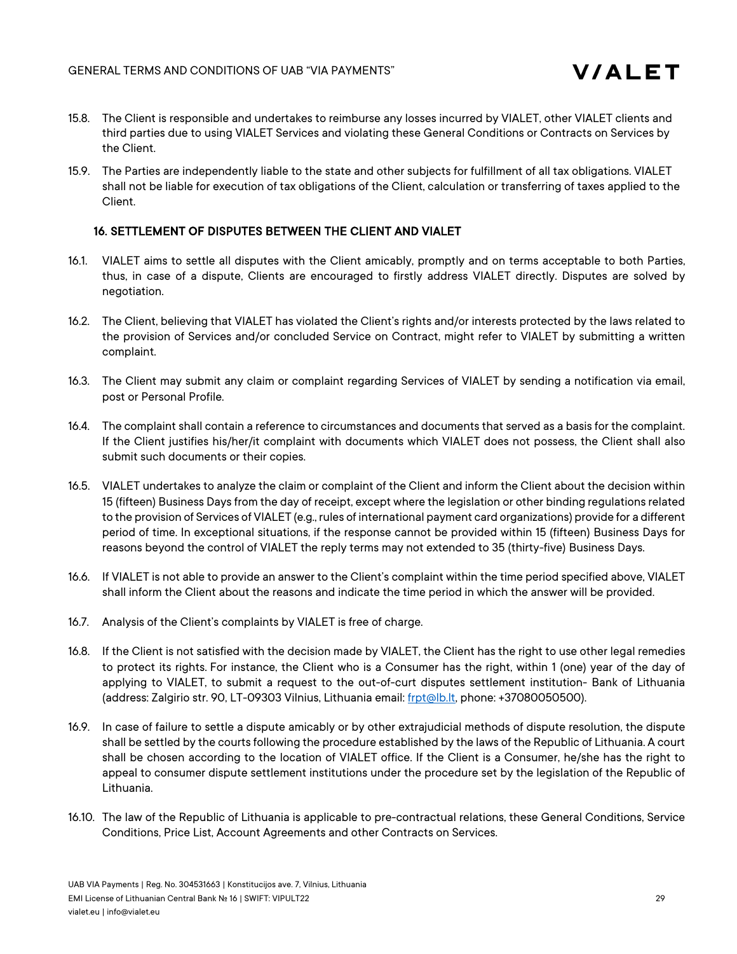

- 15.8. The Client is responsible and undertakes to reimburse any losses incurred by VIALET, other VIALET clients and third parties due to using VIALET Services and violating these General Conditions or Contracts on Services by the Client.
- 15.9. The Parties are independently liable to the state and other subjects for fulfillment of all tax obligations. VIALET shall not be liable for execution of tax obligations of the Client, calculation or transferring of taxes applied to the Client.

# 16. SETTLEMENT OF DISPUTES BETWEEN THE CLIENT AND VIALET

- 16.1. VIALET aims to settle all disputes with the Client amicably, promptly and on terms acceptable to both Parties, thus, in case of a dispute, Clients are encouraged to firstly address VIALET directly. Disputes are solved by negotiation.
- 16.2. The Client, believing that VIALET has violated the Client's rights and/or interests protected by the laws related to the provision of Services and/or concluded Service on Contract, might refer to VIALET by submitting a written complaint.
- 16.3. The Client may submit any claim or complaint regarding Services of VIALET by sending a notification via email, post or Personal Profile.
- 16.4. The complaint shall contain a reference to circumstances and documents that served as a basis for the complaint. If the Client justifies his/her/it complaint with documents which VIALET does not possess, the Client shall also submit such documents or their copies.
- 16.5. VIALET undertakes to analyze the claim or complaint of the Client and inform the Client about the decision within 15 (fifteen) Business Days from the day of receipt, except where the legislation or other binding regulations related to the provision of Services of VIALET (e.g., rules of international payment card organizations) provide for a different period of time. In exceptional situations, if the response cannot be provided within 15 (fifteen) Business Days for reasons beyond the control of VIALET the reply terms may not extended to 35 (thirty-five) Business Days.
- 16.6. If VIALET is not able to provide an answer to the Client's complaint within the time period specified above, VIALET shall inform the Client about the reasons and indicate the time period in which the answer will be provided.
- 16.7. Analysis of the Client's complaints by VIALET is free of charge.
- 16.8. If the Client is not satisfied with the decision made by VIALET, the Client has the right to use other legal remedies to protect its rights. For instance, the Client who is a Consumer has the right, within 1 (one) year of the day of applying to VIALET, to submit a request to the out-of-curt disputes settlement institution- Bank of Lithuania (address: Zalgirio str. 90, LT-09303 Vilnius, Lithuania email: frpt@lb.lt, phone: +37080050500).
- 16.9. In case of failure to settle a dispute amicably or by other extrajudicial methods of dispute resolution, the dispute shall be settled by the courts following the procedure established by the laws of the Republic of Lithuania. A court shall be chosen according to the location of VIALET office. If the Client is a Consumer, he/she has the right to appeal to consumer dispute settlement institutions under the procedure set by the legislation of the Republic of Lithuania.
- 16.10. The law of the Republic of Lithuania is applicable to pre-contractual relations, these General Conditions, Service Conditions, Price List, Account Agreements and other Contracts on Services.